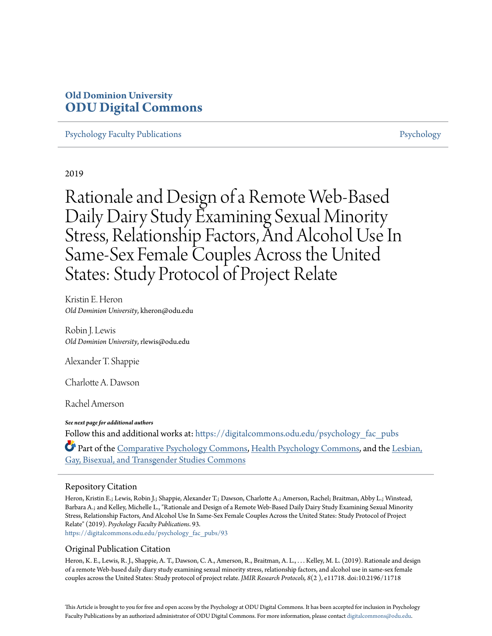## **Old Dominion University [ODU Digital Commons](https://digitalcommons.odu.edu?utm_source=digitalcommons.odu.edu%2Fpsychology_fac_pubs%2F93&utm_medium=PDF&utm_campaign=PDFCoverPages)**

[Psychology Faculty Publications](https://digitalcommons.odu.edu/psychology_fac_pubs?utm_source=digitalcommons.odu.edu%2Fpsychology_fac_pubs%2F93&utm_medium=PDF&utm_campaign=PDFCoverPages) **[Psychology](https://digitalcommons.odu.edu/psychology?utm_source=digitalcommons.odu.edu%2Fpsychology_fac_pubs%2F93&utm_medium=PDF&utm_campaign=PDFCoverPages)** Psychology

2019

Rationale and Design of a Remote Web-Based Daily Dairy Study Examining Sexual Minority Stress, Relationship Factors, And Alcohol Use In Same-Sex Female Couples Across the United States: Study Protocol of Project Relate

Kristin E. Heron *Old Dominion University*, kheron@odu.edu

Robin J. Lewis *Old Dominion University*, rlewis@odu.edu

Alexander T. Shappie

Charlotte A. Dawson

Rachel Amerson

*See next page for additional authors* Follow this and additional works at: [https://digitalcommons.odu.edu/psychology\\_fac\\_pubs](https://digitalcommons.odu.edu/psychology_fac_pubs?utm_source=digitalcommons.odu.edu%2Fpsychology_fac_pubs%2F93&utm_medium=PDF&utm_campaign=PDFCoverPages) Part of the [Comparative Psychology Commons,](http://network.bepress.com/hgg/discipline/1387?utm_source=digitalcommons.odu.edu%2Fpsychology_fac_pubs%2F93&utm_medium=PDF&utm_campaign=PDFCoverPages) [Health Psychology Commons](http://network.bepress.com/hgg/discipline/411?utm_source=digitalcommons.odu.edu%2Fpsychology_fac_pubs%2F93&utm_medium=PDF&utm_campaign=PDFCoverPages), and the [Lesbian,](http://network.bepress.com/hgg/discipline/560?utm_source=digitalcommons.odu.edu%2Fpsychology_fac_pubs%2F93&utm_medium=PDF&utm_campaign=PDFCoverPages)

## Repository Citation

Heron, Kristin E.; Lewis, Robin J.; Shappie, Alexander T.; Dawson, Charlotte A.; Amerson, Rachel; Braitman, Abby L.; Winstead, Barbara A.; and Kelley, Michelle L., "Rationale and Design of a Remote Web-Based Daily Dairy Study Examining Sexual Minority Stress, Relationship Factors, And Alcohol Use In Same-Sex Female Couples Across the United States: Study Protocol of Project Relate" (2019). *Psychology Faculty Publications*. 93.

[https://digitalcommons.odu.edu/psychology\\_fac\\_pubs/93](https://digitalcommons.odu.edu/psychology_fac_pubs/93?utm_source=digitalcommons.odu.edu%2Fpsychology_fac_pubs%2F93&utm_medium=PDF&utm_campaign=PDFCoverPages)

[Gay, Bisexual, and Transgender Studies Commons](http://network.bepress.com/hgg/discipline/560?utm_source=digitalcommons.odu.edu%2Fpsychology_fac_pubs%2F93&utm_medium=PDF&utm_campaign=PDFCoverPages)

## Original Publication Citation

Heron, K. E., Lewis, R. J., Shappie, A. T., Dawson, C. A., Amerson, R., Braitman, A. L., . . . Kelley, M. L. (2019). Rationale and design of a remote Web-based daily diary study examining sexual minority stress, relationship factors, and alcohol use in same-sex female couples across the United States: Study protocol of project relate. *JMIR Research Protocols, 8*(2 ), e11718. doi:10.2196/11718

This Article is brought to you for free and open access by the Psychology at ODU Digital Commons. It has been accepted for inclusion in Psychology Faculty Publications by an authorized administrator of ODU Digital Commons. For more information, please contact [digitalcommons@odu.edu.](mailto:digitalcommons@odu.edu)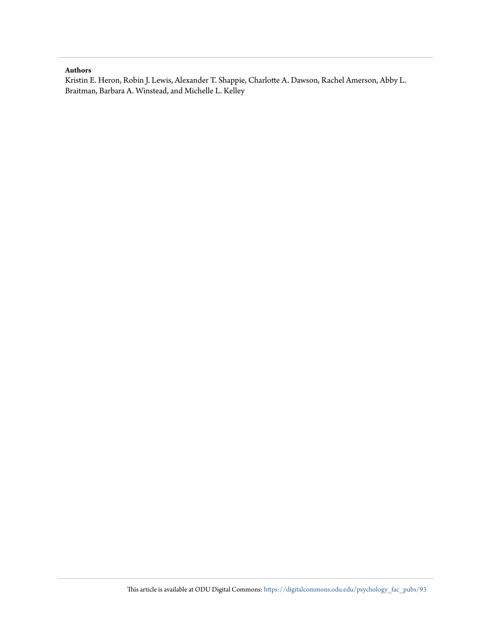#### **Authors**

Kristin E. Heron, Robin J. Lewis, Alexander T. Shappie, Charlotte A. Dawson, Rachel Amerson, Abby L. Braitman, Barbara A. Winstead, and Michelle L. Kelley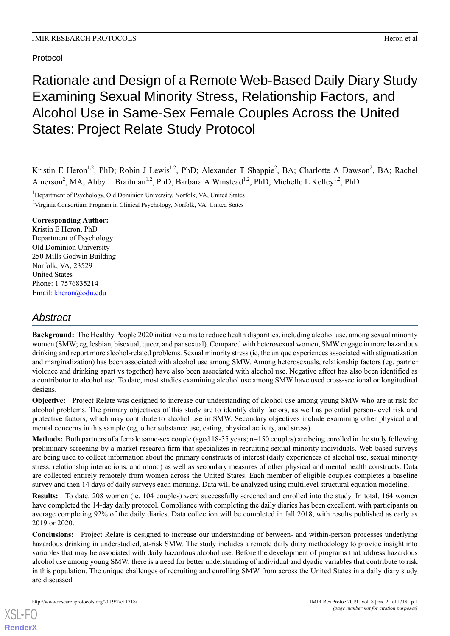## Protocol

# Rationale and Design of a Remote Web-Based Daily Diary Study Examining Sexual Minority Stress, Relationship Factors, and Alcohol Use in Same-Sex Female Couples Across the United States: Project Relate Study Protocol

Kristin E Heron<sup>1,2</sup>, PhD; Robin J Lewis<sup>1,2</sup>, PhD; Alexander T Shappie<sup>2</sup>, BA; Charlotte A Dawson<sup>2</sup>, BA; Rachel Amerson<sup>2</sup>, MA; Abby L Braitman<sup>1,2</sup>, PhD; Barbara A Winstead<sup>1,2</sup>, PhD; Michelle L Kelley<sup>1,2</sup>, PhD

<sup>1</sup>Department of Psychology, Old Dominion University, Norfolk, VA, United States

<sup>2</sup>Virginia Consortium Program in Clinical Psychology, Norfolk, VA, United States

## **Corresponding Author:**

Kristin E Heron, PhD Department of Psychology Old Dominion University 250 Mills Godwin Building Norfolk, VA, 23529 United States Phone: 1 7576835214 Email: [kheron@odu.edu](mailto:kheron@odu.edu)

## *Abstract*

**Background:** The Healthy People 2020 initiative aims to reduce health disparities, including alcohol use, among sexual minority women (SMW; eg, lesbian, bisexual, queer, and pansexual). Compared with heterosexual women, SMW engage in more hazardous drinking and report more alcohol-related problems. Sexual minority stress (ie, the unique experiences associated with stigmatization and marginalization) has been associated with alcohol use among SMW. Among heterosexuals, relationship factors (eg, partner violence and drinking apart vs together) have also been associated with alcohol use. Negative affect has also been identified as a contributor to alcohol use. To date, most studies examining alcohol use among SMW have used cross-sectional or longitudinal designs.

**Objective:** Project Relate was designed to increase our understanding of alcohol use among young SMW who are at risk for alcohol problems. The primary objectives of this study are to identify daily factors, as well as potential person-level risk and protective factors, which may contribute to alcohol use in SMW. Secondary objectives include examining other physical and mental concerns in this sample (eg, other substance use, eating, physical activity, and stress).

**Methods:** Both partners of a female same-sex couple (aged 18-35 years; n=150 couples) are being enrolled in the study following preliminary screening by a market research firm that specializes in recruiting sexual minority individuals. Web-based surveys are being used to collect information about the primary constructs of interest (daily experiences of alcohol use, sexual minority stress, relationship interactions, and mood) as well as secondary measures of other physical and mental health constructs. Data are collected entirely remotely from women across the United States. Each member of eligible couples completes a baseline survey and then 14 days of daily surveys each morning. Data will be analyzed using multilevel structural equation modeling.

**Results:** To date, 208 women (ie, 104 couples) were successfully screened and enrolled into the study. In total, 164 women have completed the 14-day daily protocol. Compliance with completing the daily diaries has been excellent, with participants on average completing 92% of the daily diaries. Data collection will be completed in fall 2018, with results published as early as 2019 or 2020.

**Conclusions:** Project Relate is designed to increase our understanding of between- and within-person processes underlying hazardous drinking in understudied, at-risk SMW. The study includes a remote daily diary methodology to provide insight into variables that may be associated with daily hazardous alcohol use. Before the development of programs that address hazardous alcohol use among young SMW, there is a need for better understanding of individual and dyadic variables that contribute to risk in this population. The unique challenges of recruiting and enrolling SMW from across the United States in a daily diary study are discussed.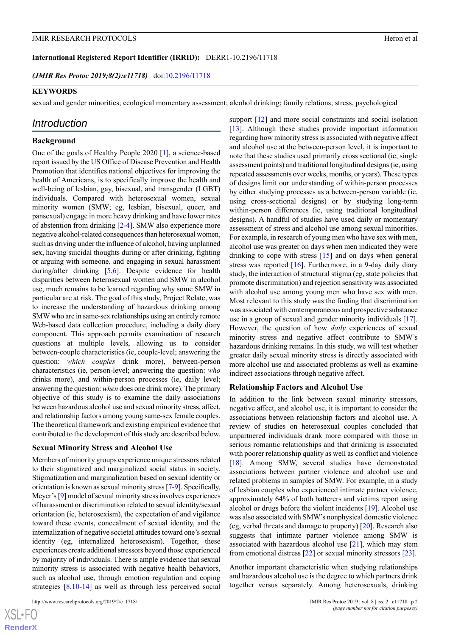**International Registered Report Identifier (IRRID):** DERR1-10.2196/11718

*(JMIR Res Protoc 2019;8(2):e11718*) doi:*10.2196/11718* 

#### **KEYWORDS**

sexual and gender minorities; ecological momentary assessment; alcohol drinking; family relations; stress, psychological

## *Introduction*

#### **Background**

One of the goals of Healthy People 2020 [[1\]](#page-12-0), a science-based report issued by the US Office of Disease Prevention and Health Promotion that identifies national objectives for improving the health of Americans, is to specifically improve the health and well-being of lesbian, gay, bisexual, and transgender (LGBT) individuals. Compared with heterosexual women, sexual minority women (SMW; eg, lesbian, bisexual, queer, and pansexual) engage in more heavy drinking and have lower rates of abstention from drinking [[2-](#page-12-1)[4\]](#page-12-2). SMW also experience more negative alcohol-related consequences than heterosexual women, such as driving under the influence of alcohol, having unplanned sex, having suicidal thoughts during or after drinking, fighting or arguing with someone, and engaging in sexual harassment during/after drinking [[5,](#page-12-3)[6](#page-12-4)]. Despite evidence for health disparities between heterosexual women and SMW in alcohol use, much remains to be learned regarding why some SMW in particular are at risk. The goal of this study, Project Relate, was to increase the understanding of hazardous drinking among SMW who are in same-sex relationships using an entirely remote Web-based data collection procedure, including a daily diary component. This approach permits examination of research questions at multiple levels, allowing us to consider between-couple characteristics (ie, couple-level; answering the question: *which couples* drink more), between-person characteristics (ie, person-level; answering the question: *who* drinks more), and within-person processes (ie, daily level; answering the question: *when* does one drink more). The primary objective of this study is to examine the daily associations between hazardous alcohol use and sexual minority stress, affect, and relationship factors among young same-sex female couples. The theoretical framework and existing empirical evidence that contributed to the development of this study are described below.

#### **Sexual Minority Stress and Alcohol Use**

Members of minority groups experience unique stressors related to their stigmatized and marginalized social status in society. Stigmatization and marginalization based on sexual identity or orientation is known as sexual minority stress [[7-](#page-12-5)[9\]](#page-12-6). Specifically, Meyer's [[9\]](#page-12-6) model of sexual minority stress involves experiences of harassment or discrimination related to sexual identity/sexual orientation (ie, heterosexism), the expectation of and vigilance toward these events, concealment of sexual identity, and the internalization of negative societal attitudes toward one's sexual identity (eg, internalized heterosexism). Together, these experiences create additional stressors beyond those experienced by majority of individuals. There is ample evidence that sexual minority stress is associated with negative health behaviors, such as alcohol use, through emotion regulation and coping strategies [[8](#page-12-7)[,10](#page-12-8)[-14](#page-13-0)] as well as through less perceived social

support [[12\]](#page-13-1) and more social constraints and social isolation [[13\]](#page-13-2). Although these studies provide important information regarding how minority stress is associated with negative affect and alcohol use at the between-person level, it is important to note that these studies used primarily cross sectional (ie, single assessment points) and traditional longitudinal designs (ie, using repeated assessments over weeks, months, or years). These types of designs limit our understanding of within-person processes by either studying processes as a between-person variable (ie, using cross-sectional designs) or by studying long-term within-person differences (ie, using traditional longitudinal designs). A handful of studies have used daily or momentary assessment of stress and alcohol use among sexual minorities. For example, in research of young men who have sex with men, alcohol use was greater on days when men indicated they were drinking to cope with stress [\[15](#page-13-3)] and on days when general stress was reported  $[16]$  $[16]$ . Furthermore, in a 9-day daily diary study, the interaction of structural stigma (eg, state policies that promote discrimination) and rejection sensitivity was associated with alcohol use among young men who have sex with men. Most relevant to this study was the finding that discrimination was associated with contemporaneous and prospective substance use in a group of sexual and gender minority individuals [[17\]](#page-13-5). However, the question of how *daily* experiences of sexual minority stress and negative affect contribute to SMW's hazardous drinking remains. In this study, we will test whether greater daily sexual minority stress is directly associated with more alcohol use and associated problems as well as examine indirect associations through negative affect.

#### **Relationship Factors and Alcohol Use**

In addition to the link between sexual minority stressors, negative affect, and alcohol use, it is important to consider the associations between relationship factors and alcohol use. A review of studies on heterosexual couples concluded that unpartnered individuals drank more compared with those in serious romantic relationships and that drinking is associated with poorer relationship quality as well as conflict and violence [[18\]](#page-13-6). Among SMW, several studies have demonstrated associations between partner violence and alcohol use and related problems in samples of SMW. For example, in a study of lesbian couples who experienced intimate partner violence, approximately 64% of both batterers and victims report using alcohol or drugs before the violent incidents [\[19](#page-13-7)]. Alcohol use was also associated with SMW's nonphysical domestic violence (eg, verbal threats and damage to property) [[20\]](#page-13-8). Research also suggests that intimate partner violence among SMW is associated with hazardous alcohol use [\[21](#page-13-9)], which may stem from emotional distress [[22\]](#page-13-10) or sexual minority stressors [[23\]](#page-13-11).

Another important characteristic when studying relationships and hazardous alcohol use is the degree to which partners drink together versus separately. Among heterosexuals, drinking

 $XS$  • FC **[RenderX](http://www.renderx.com/)**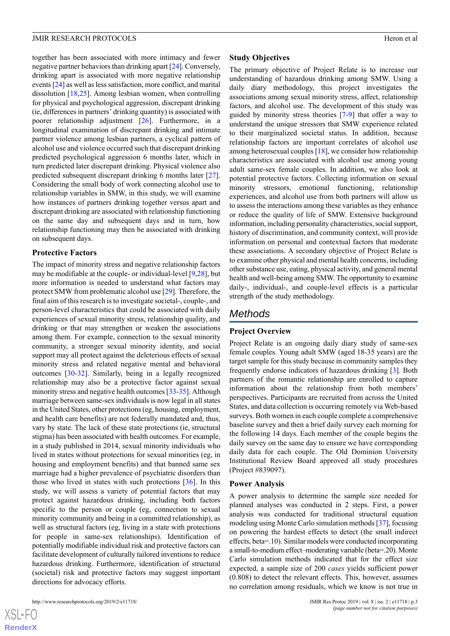together has been associated with more intimacy and fewer negative partner behaviors than drinking apart [\[24](#page-13-12)]. Conversely, drinking apart is associated with more negative relationship events [[24](#page-13-12)] as well as less satisfaction, more conflict, and marital dissolution [[18,](#page-13-6)[25](#page-13-13)]. Among lesbian women, when controlling for physical and psychological aggression, discrepant drinking (ie, differences in partners' drinking quantity) is associated with poorer relationship adjustment [\[26](#page-13-14)]. Furthermore, in a longitudinal examination of discrepant drinking and intimate partner violence among lesbian partners, a cyclical pattern of alcohol use and violence occurred such that discrepant drinking predicted psychological aggression 6 months later, which in turn predicted later discrepant drinking. Physical violence also predicted subsequent discrepant drinking 6 months later [[27\]](#page-13-15). Considering the small body of work connecting alcohol use to relationship variables in SMW, in this study, we will examine how instances of partners drinking together versus apart and discrepant drinking are associated with relationship functioning on the same day and subsequent days and in turn, how relationship functioning may then be associated with drinking on subsequent days.

## **Protective Factors**

The impact of minority stress and negative relationship factors may be modifiable at the couple- or individual-level [\[9](#page-12-6),[28\]](#page-13-16), but more information is needed to understand what factors may protect SMW from problematic alcohol use [\[29](#page-13-17)]. Therefore, the final aim of this research is to investigate societal-, couple-, and person-level characteristics that could be associated with daily experiences of sexual minority stress, relationship quality, and drinking or that may strengthen or weaken the associations among them. For example, connection to the sexual minority community, a stronger sexual minority identity, and social support may all protect against the deleterious effects of sexual minority stress and related negative mental and behavioral outcomes [[30](#page-13-18)[-32](#page-13-19)]. Similarly, being in a legally recognized relationship may also be a protective factor against sexual minority stress and negative health outcomes [\[33](#page-13-20)-[35](#page-13-21)]. Although marriage between same-sex individuals is now legal in all states in the United States, other protections (eg, housing, employment, and health care benefits) are not federally mandated and, thus, vary by state. The lack of these state protections (ie, structural stigma) has been associated with health outcomes. For example, in a study published in 2014, sexual minority individuals who lived in states without protections for sexual minorities (eg, in housing and employment benefits) and that banned same sex marriage had a higher prevalence of psychiatric disorders than those who lived in states with such protections [\[36](#page-14-0)]. In this study, we will assess a variety of potential factors that may protect against hazardous drinking, including both factors specific to the person or couple (eg, connection to sexual minority community and being in a committed relationship), as well as structural factors (eg, living in a state with protections for people in same-sex relationships). Identification of potentially modifiable individual risk and protective factors can facilitate development of culturally tailored inventions to reduce hazardous drinking. Furthermore, identification of structural (societal) risk and protective factors may suggest important directions for advocacy efforts.

#### http://www.researchprotocols.org/2019/2/e11718/ JMIR Res Protoc 2019 | vol. 8 | iss. 2 | e11718 | p.3

#### **Study Objectives**

The primary objective of Project Relate is to increase our understanding of hazardous drinking among SMW. Using a daily diary methodology, this project investigates the associations among sexual minority stress, affect, relationship factors, and alcohol use. The development of this study was guided by minority stress theories [[7-](#page-12-5)[9](#page-12-6)] that offer a way to understand the unique stressors that SMW experience related to their marginalized societal status. In addition, because relationship factors are important correlates of alcohol use among heterosexual couples [\[18](#page-13-6)], we consider how relationship characteristics are associated with alcohol use among young adult same-sex female couples. In addition, we also look at potential protective factors. Collecting information on sexual minority stressors, emotional functioning, relationship experiences, and alcohol use from both partners will allow us to assess the interactions among these variables as they enhance or reduce the quality of life of SMW. Extensive background information, including personality characteristics, social support, history of discrimination, and community context, will provide information on personal and contextual factors that moderate these associations. A secondary objective of Project Relate is to examine other physical and mental health concerns, including other substance use, eating, physical activity, and general mental health and well-being among SMW. The opportunity to examine daily-, individual-, and couple-level effects is a particular strength of the study methodology.

## *Methods*

#### **Project Overview**

Project Relate is an ongoing daily diary study of same-sex female couples. Young adult SMW (aged 18-35 years) are the target sample for this study because in community samples they frequently endorse indicators of hazardous drinking [[3](#page-12-9)]. Both partners of the romantic relationship are enrolled to capture information about the relationship from both members' perspectives. Participants are recruited from across the United States, and data collection is occurring remotely via Web-based surveys. Both women in each couple complete a comprehensive baseline survey and then a brief daily survey each morning for the following 14 days. Each member of the couple begins the daily survey on the same day to ensure we have corresponding daily data for each couple. The Old Dominion University Institutional Review Board approved all study procedures (Project #839097).

#### **Power Analysis**

A power analysis to determine the sample size needed for planned analyses was conducted in 2 steps. First, a power analysis was conducted for traditional structural equation modeling using Monte Carlo simulation methods [[37\]](#page-14-1), focusing on powering the hardest effects to detect (the small indirect effects, beta=.10). Similar models were conducted incorporating a small-to-medium effect–moderating variable (beta=.20). Monte Carlo simulation methods indicated that for the effect size expected, a sample size of 200 *cases* yields sufficient power (0.808) to detect the relevant effects. This, however, assumes no correlation among residuals, which we know is not true in

 $XS$  • FC **[RenderX](http://www.renderx.com/)**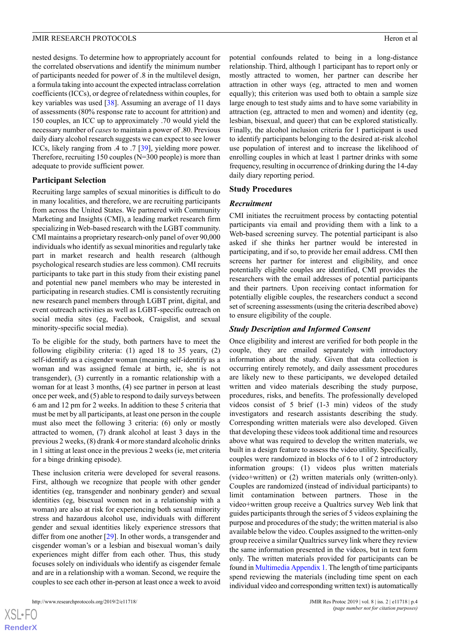nested designs. To determine how to appropriately account for the correlated observations and identify the minimum number of participants needed for power of .8 in the multilevel design, a formula taking into account the expected intraclass correlation coefficients (ICCs), or degree of relatedness within couples, for key variables was used [[38\]](#page-14-2). Assuming an average of 11 days of assessments (80% response rate to account for attrition) and 150 couples, an ICC up to approximately .70 would yield the necessary number of *cases*to maintain a power of .80. Previous daily diary alcohol research suggests we can expect to see lower ICCs, likely ranging from .4 to .7 [\[39](#page-14-3)], yielding more power. Therefore, recruiting 150 couples (N=300 people) is more than adequate to provide sufficient power.

#### **Participant Selection**

Recruiting large samples of sexual minorities is difficult to do in many localities, and therefore, we are recruiting participants from across the United States. We partnered with Community Marketing and Insights (CMI), a leading market research firm specializing in Web-based research with the LGBT community. CMI maintains a proprietary research-only panel of over 90,000 individuals who identify as sexual minorities and regularly take part in market research and health research (although psychological research studies are less common). CMI recruits participants to take part in this study from their existing panel and potential new panel members who may be interested in participating in research studies. CMI is consistently recruiting new research panel members through LGBT print, digital, and event outreach activities as well as LGBT-specific outreach on social media sites (eg, Facebook, Craigslist, and sexual minority-specific social media).

To be eligible for the study, both partners have to meet the following eligibility criteria: (1) aged 18 to 35 years, (2) self-identify as a cisgender woman (meaning self-identify as a woman and was assigned female at birth, ie, she is not transgender), (3) currently in a romantic relationship with a woman for at least 3 months, (4) see partner in person at least once per week, and (5) able to respond to daily surveys between 6 am and 12 pm for 2 weeks. In addition to these 5 criteria that must be met by all participants, at least one person in the couple must also meet the following 3 criteria: (6) only or mostly attracted to women, (7) drank alcohol at least 3 days in the previous 2 weeks, (8) drank 4 or more standard alcoholic drinks in 1 sitting at least once in the previous 2 weeks (ie, met criteria for a binge drinking episode).

These inclusion criteria were developed for several reasons. First, although we recognize that people with other gender identities (eg, transgender and nonbinary gender) and sexual identities (eg, bisexual women not in a relationship with a woman) are also at risk for experiencing both sexual minority stress and hazardous alcohol use, individuals with different gender and sexual identities likely experience stressors that differ from one another [[29\]](#page-13-17). In other words, a transgender and cisgender woman's or a lesbian and bisexual woman's daily experiences might differ from each other. Thus, this study focuses solely on individuals who identify as cisgender female and are in a relationship with a woman. Second, we require the couples to see each other in-person at least once a week to avoid

potential confounds related to being in a long-distance relationship. Third, although 1 participant has to report only or mostly attracted to women, her partner can describe her attraction in other ways (eg, attracted to men and women equally); this criterion was used both to obtain a sample size large enough to test study aims and to have some variability in attraction (eg, attracted to men and women) and identity (eg, lesbian, bisexual, and queer) that can be explored statistically. Finally, the alcohol inclusion criteria for 1 participant is used to identify participants belonging to the desired at-risk alcohol use population of interest and to increase the likelihood of enrolling couples in which at least 1 partner drinks with some frequency, resulting in occurrence of drinking during the 14-day daily diary reporting period.

#### **Study Procedures**

#### *Recruitment*

CMI initiates the recruitment process by contacting potential participants via email and providing them with a link to a Web-based screening survey. The potential participant is also asked if she thinks her partner would be interested in participating, and if so, to provide her email address. CMI then screens her partner for interest and eligibility, and once potentially eligible couples are identified, CMI provides the researchers with the email addresses of potential participants and their partners. Upon receiving contact information for potentially eligible couples, the researchers conduct a second set of screening assessments (using the criteria described above) to ensure eligibility of the couple.

## *Study Description and Informed Consent*

Once eligibility and interest are verified for both people in the couple, they are emailed separately with introductory information about the study. Given that data collection is occurring entirely remotely, and daily assessment procedures are likely new to these participants, we developed detailed written and video materials describing the study purpose, procedures, risks, and benefits. The professionally developed videos consist of 5 brief (1-3 min) videos of the study investigators and research assistants describing the study. Corresponding written materials were also developed. Given that developing these videos took additional time and resources above what was required to develop the written materials, we built in a design feature to assess the video utility. Specifically, couples were randomized in blocks of 6 to 1 of 2 introductory information groups: (1) videos plus written materials (video+written) or (2) written materials only (written-only). Couples are randomized (instead of individual participants) to limit contamination between partners. Those in the video+written group receive a Qualtrics survey Web link that guides participants through the series of 5 videos explaining the purpose and procedures of the study; the written material is also available below the video. Couples assigned to the written-only group receive a similar Qualtrics survey link where they review the same information presented in the videos, but in text form only. The written materials provided for participants can be found in [Multimedia Appendix 1](#page-12-10). The length of time participants spend reviewing the materials (including time spent on each individual video and corresponding written text) is automatically

 $XS$ -FO **[RenderX](http://www.renderx.com/)**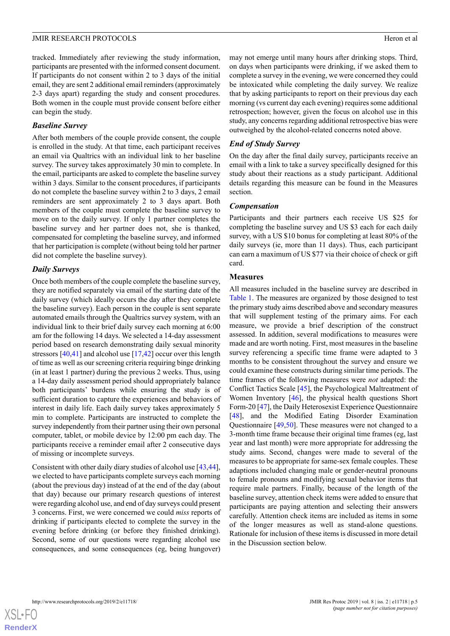tracked. Immediately after reviewing the study information, participants are presented with the informed consent document. If participants do not consent within 2 to 3 days of the initial email, they are sent 2 additional email reminders (approximately 2-3 days apart) regarding the study and consent procedures. Both women in the couple must provide consent before either can begin the study.

#### *Baseline Survey*

After both members of the couple provide consent, the couple is enrolled in the study. At that time, each participant receives an email via Qualtrics with an individual link to her baseline survey. The survey takes approximately 30 min to complete. In the email, participants are asked to complete the baseline survey within 3 days. Similar to the consent procedures, if participants do not complete the baseline survey within 2 to 3 days, 2 email reminders are sent approximately 2 to 3 days apart. Both members of the couple must complete the baseline survey to move on to the daily survey. If only 1 partner completes the baseline survey and her partner does not, she is thanked, compensated for completing the baseline survey, and informed that her participation is complete (without being told her partner did not complete the baseline survey).

#### *Daily Surveys*

Once both members of the couple complete the baseline survey, they are notified separately via email of the starting date of the daily survey (which ideally occurs the day after they complete the baseline survey). Each person in the couple is sent separate automated emails through the Qualtrics survey system, with an individual link to their brief daily survey each morning at 6:00 am for the following 14 days. We selected a 14-day assessment period based on research demonstrating daily sexual minority stressors [\[40](#page-14-4),[41\]](#page-14-5) and alcohol use [[17,](#page-13-5)[42](#page-14-6)] occur over this length of time as well as our screening criteria requiring binge drinking (in at least 1 partner) during the previous 2 weeks. Thus, using a 14-day daily assessment period should appropriately balance both participants' burdens while ensuring the study is of sufficient duration to capture the experiences and behaviors of interest in daily life. Each daily survey takes approximately 5 min to complete. Participants are instructed to complete the survey independently from their partner using their own personal computer, tablet, or mobile device by 12:00 pm each day. The participants receive a reminder email after 2 consecutive days of missing or incomplete surveys.

Consistent with other daily diary studies of alcohol use [\[43](#page-14-7),[44\]](#page-14-8), we elected to have participants complete surveys each morning (about the previous day) instead of at the end of the day (about that day) because our primary research questions of interest were regarding alcohol use, and end of day surveys could present 3 concerns. First, we were concerned we could *miss* reports of drinking if participants elected to complete the survey in the evening before drinking (or before they finished drinking). Second, some of our questions were regarding alcohol use consequences, and some consequences (eg, being hungover)

may not emerge until many hours after drinking stops. Third, on days when participants were drinking, if we asked them to complete a survey in the evening, we were concerned they could be intoxicated while completing the daily survey. We realize that by asking participants to report on their previous day each morning (vs current day each evening) requires some additional retrospection; however, given the focus on alcohol use in this study, any concerns regarding additional retrospective bias were outweighed by the alcohol-related concerns noted above.

## *End of Study Survey*

On the day after the final daily survey, participants receive an email with a link to take a survey specifically designed for this study about their reactions as a study participant. Additional details regarding this measure can be found in the Measures section.

#### *Compensation*

Participants and their partners each receive US \$25 for completing the baseline survey and US \$3 each for each daily survey, with a US \$10 bonus for completing at least 80% of the daily surveys (ie, more than 11 days). Thus, each participant can earn a maximum of US \$77 via their choice of check or gift card.

#### **Measures**

All measures included in the baseline survey are described in [Table 1](#page-7-0). The measures are organized by those designed to test the primary study aims described above and secondary measures that will supplement testing of the primary aims. For each measure, we provide a brief description of the construct assessed. In addition, several modifications to measures were made and are worth noting. First, most measures in the baseline survey referencing a specific time frame were adapted to 3 months to be consistent throughout the survey and ensure we could examine these constructs during similar time periods. The time frames of the following measures were *not* adapted: the Conflict Tactics Scale [[45\]](#page-14-9), the Psychological Maltreatment of Women Inventory [[46\]](#page-14-10), the physical health questions Short Form-20 [[47\]](#page-14-11), the Daily Heterosexist Experience Questionnaire [[48\]](#page-14-12), and the Modified Eating Disorder Examination Questionnaire [[49](#page-14-13)[,50](#page-14-14)]. These measures were not changed to a 3-month time frame because their original time frames (eg, last year and last month) were more appropriate for addressing the study aims. Second, changes were made to several of the measures to be appropriate for same-sex female couples. These adaptions included changing male or gender-neutral pronouns to female pronouns and modifying sexual behavior items that require male partners. Finally, because of the length of the baseline survey, attention check items were added to ensure that participants are paying attention and selecting their answers carefully. Attention check items are included as items in some of the longer measures as well as stand-alone questions. Rationale for inclusion of these items is discussed in more detail in the Discussion section below.

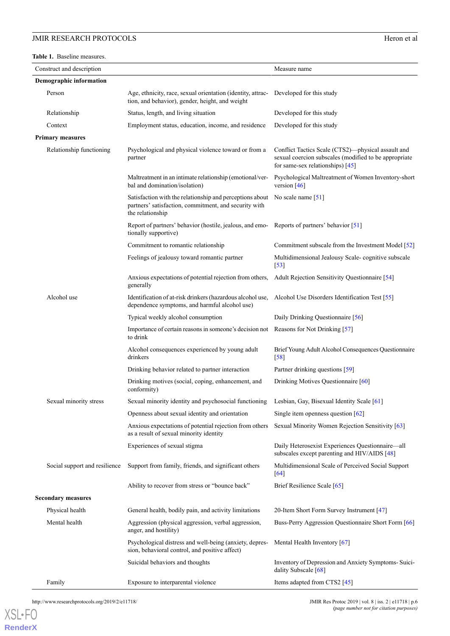## **JMIR RESEARCH PROTOCOLS** Heron et al.

<span id="page-7-0"></span>**Table 1.** Baseline measures.

| Construct and description      |                                                                                                                                       | Measure name                                                                                                                                      |
|--------------------------------|---------------------------------------------------------------------------------------------------------------------------------------|---------------------------------------------------------------------------------------------------------------------------------------------------|
| <b>Demographic information</b> |                                                                                                                                       |                                                                                                                                                   |
| Person                         | Age, ethnicity, race, sexual orientation (identity, attrac-<br>tion, and behavior), gender, height, and weight                        | Developed for this study                                                                                                                          |
| Relationship                   | Status, length, and living situation                                                                                                  | Developed for this study                                                                                                                          |
| Context                        | Employment status, education, income, and residence                                                                                   | Developed for this study                                                                                                                          |
| <b>Primary measures</b>        |                                                                                                                                       |                                                                                                                                                   |
| Relationship functioning       | Psychological and physical violence toward or from a<br>partner                                                                       | Conflict Tactics Scale (CTS2)—physical assault and<br>sexual coercion subscales (modified to be appropriate<br>for same-sex relationships) $[45]$ |
|                                | Maltreatment in an intimate relationship (emotional/ver-<br>bal and domination/isolation)                                             | Psychological Maltreatment of Women Inventory-short<br>version $[46]$                                                                             |
|                                | Satisfaction with the relationship and perceptions about<br>partners' satisfaction, commitment, and security with<br>the relationship | No scale name $[51]$                                                                                                                              |
|                                | Report of partners' behavior (hostile, jealous, and emo-<br>tionally supportive)                                                      | Reports of partners' behavior [51]                                                                                                                |
|                                | Commitment to romantic relationship                                                                                                   | Commitment subscale from the Investment Model [52]                                                                                                |
|                                | Feelings of jealousy toward romantic partner                                                                                          | Multidimensional Jealousy Scale-cognitive subscale<br>$[53]$                                                                                      |
|                                | Anxious expectations of potential rejection from others,<br>generally                                                                 | Adult Rejection Sensitivity Questionnaire [54]                                                                                                    |
| Alcohol use                    | Identification of at-risk drinkers (hazardous alcohol use,<br>dependence symptoms, and harmful alcohol use)                           | Alcohol Use Disorders Identification Test [55]                                                                                                    |
|                                | Typical weekly alcohol consumption                                                                                                    | Daily Drinking Questionnaire [56]                                                                                                                 |
|                                | Importance of certain reasons in someone's decision not<br>to drink                                                                   | Reasons for Not Drinking [57]                                                                                                                     |
|                                | Alcohol consequences experienced by young adult<br>drinkers                                                                           | Brief Young Adult Alcohol Consequences Questionnaire<br>$[58]$                                                                                    |
|                                | Drinking behavior related to partner interaction                                                                                      | Partner drinking questions [59]                                                                                                                   |
|                                | Drinking motives (social, coping, enhancement, and<br>conformity)                                                                     | Drinking Motives Questionnaire [60]                                                                                                               |
| Sexual minority stress         | Sexual minority identity and psychosocial functioning                                                                                 | Lesbian, Gay, Bisexual Identity Scale [61]                                                                                                        |
|                                | Openness about sexual identity and orientation                                                                                        | Single item openness question $\lceil 62 \rceil$                                                                                                  |
|                                | Anxious expectations of potential rejection from others<br>as a result of sexual minority identity                                    | Sexual Minority Women Rejection Sensitivity [63]                                                                                                  |
|                                | Experiences of sexual stigma                                                                                                          | Daily Heterosexist Experiences Questionnaire-all<br>subscales except parenting and HIV/AIDS [48]                                                  |
| Social support and resilience  | Support from family, friends, and significant others                                                                                  | Multidimensional Scale of Perceived Social Support<br>$[64]$                                                                                      |
|                                | Ability to recover from stress or "bounce back"                                                                                       | Brief Resilience Scale [65]                                                                                                                       |
| <b>Secondary measures</b>      |                                                                                                                                       |                                                                                                                                                   |
| Physical health                | General health, bodily pain, and activity limitations                                                                                 | 20-Item Short Form Survey Instrument [47]                                                                                                         |
| Mental health                  | Aggression (physical aggression, verbal aggression,<br>anger, and hostility)                                                          | Buss-Perry Aggression Questionnaire Short Form [66]                                                                                               |
|                                | Psychological distress and well-being (anxiety, depres-<br>sion, behavioral control, and positive affect)                             | Mental Health Inventory [67]                                                                                                                      |
|                                | Suicidal behaviors and thoughts                                                                                                       | Inventory of Depression and Anxiety Symptoms-Suici-<br>dality Subscale [68]                                                                       |
| Family                         | Exposure to interparental violence                                                                                                    | Items adapted from CTS2 [45]                                                                                                                      |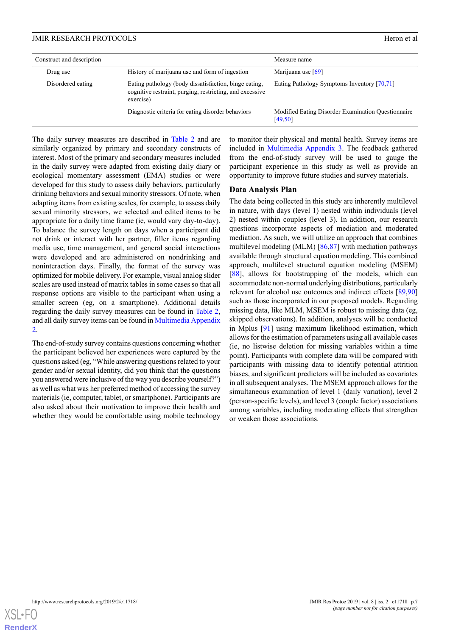| Construct and description |                                                                                                                                | Measure name                                                   |
|---------------------------|--------------------------------------------------------------------------------------------------------------------------------|----------------------------------------------------------------|
| Drug use                  | History of marijuana use and form of ingestion                                                                                 | Marijuana use $[69]$                                           |
| Disordered eating         | Eating pathology (body dissatisfaction, binge eating,<br>cognitive restraint, purging, restricting, and excessive<br>exercise) | Eating Pathology Symptoms Inventory [70,71]                    |
|                           | Diagnostic criteria for eating disorder behaviors                                                                              | Modified Eating Disorder Examination Questionnaire<br>[49, 50] |

The daily survey measures are described in [Table 2](#page-9-0) and are similarly organized by primary and secondary constructs of interest. Most of the primary and secondary measures included in the daily survey were adapted from existing daily diary or ecological momentary assessment (EMA) studies or were developed for this study to assess daily behaviors, particularly drinking behaviors and sexual minority stressors. Of note, when adapting items from existing scales, for example, to assess daily sexual minority stressors, we selected and edited items to be appropriate for a daily time frame (ie, would vary day-to-day). To balance the survey length on days when a participant did not drink or interact with her partner, filler items regarding media use, time management, and general social interactions were developed and are administered on nondrinking and noninteraction days. Finally, the format of the survey was optimized for mobile delivery. For example, visual analog slider scales are used instead of matrix tables in some cases so that all response options are visible to the participant when using a smaller screen (eg, on a smartphone). Additional details regarding the daily survey measures can be found in [Table 2](#page-9-0), and all daily survey items can be found in [Multimedia Appendix](#page-12-11) [2.](#page-12-11)

The end-of-study survey contains questions concerning whether the participant believed her experiences were captured by the questions asked (eg, "While answering questions related to your gender and/or sexual identity, did you think that the questions you answered were inclusive of the way you describe yourself?") as well as what was her preferred method of accessing the survey materials (ie, computer, tablet, or smartphone). Participants are also asked about their motivation to improve their health and whether they would be comfortable using mobile technology

to monitor their physical and mental health. Survey items are included in [Multimedia Appendix 3](#page-12-12). The feedback gathered from the end-of-study survey will be used to gauge the participant experience in this study as well as provide an opportunity to improve future studies and survey materials.

## **Data Analysis Plan**

The data being collected in this study are inherently multilevel in nature, with days (level 1) nested within individuals (level 2) nested within couples (level 3). In addition, our research questions incorporate aspects of mediation and moderated mediation. As such, we will utilize an approach that combines multilevel modeling (MLM) [[86,](#page-15-11)[87](#page-16-0)] with mediation pathways available through structural equation modeling. This combined approach, multilevel structural equation modeling (MSEM) [[88\]](#page-16-1), allows for bootstrapping of the models, which can accommodate non-normal underlying distributions, particularly relevant for alcohol use outcomes and indirect effects [[89](#page-16-2)[,90](#page-16-3)] such as those incorporated in our proposed models. Regarding missing data, like MLM, MSEM is robust to missing data (eg, skipped observations). In addition, analyses will be conducted in Mplus [\[91](#page-16-4)] using maximum likelihood estimation, which allows for the estimation of parameters using all available cases (ie, no listwise deletion for missing variables within a time point). Participants with complete data will be compared with participants with missing data to identify potential attrition biases, and significant predictors will be included as covariates in all subsequent analyses. The MSEM approach allows for the simultaneous examination of level 1 (daily variation), level 2 (person-specific levels), and level 3 (couple factor) associations among variables, including moderating effects that strengthen or weaken those associations.

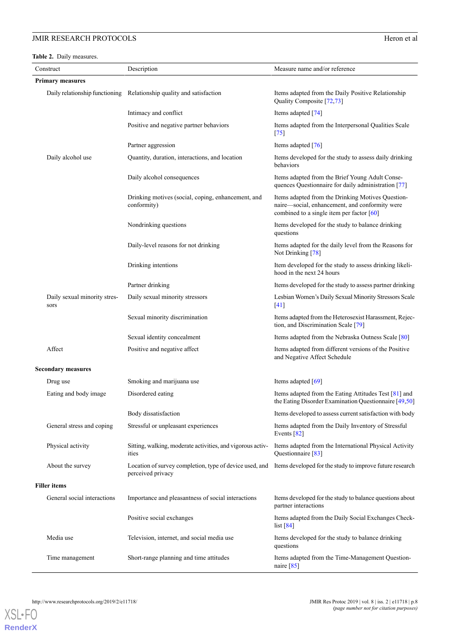## **JMIR RESEARCH PROTOCOLS** Heron et al.

<span id="page-9-0"></span>**Table 2.** Daily measures.

| Construct                            | Description                                                                  | Measure name and/or reference                                                                                                                    |
|--------------------------------------|------------------------------------------------------------------------------|--------------------------------------------------------------------------------------------------------------------------------------------------|
| <b>Primary measures</b>              |                                                                              |                                                                                                                                                  |
|                                      | Daily relationship functioning Relationship quality and satisfaction         | Items adapted from the Daily Positive Relationship<br>Quality Composite [72,73]                                                                  |
|                                      | Intimacy and conflict                                                        | Items adapted [74]                                                                                                                               |
|                                      | Positive and negative partner behaviors                                      | Items adapted from the Interpersonal Qualities Scale<br>$\lceil 75 \rceil$                                                                       |
|                                      | Partner aggression                                                           | Items adapted [76]                                                                                                                               |
| Daily alcohol use                    | Quantity, duration, interactions, and location                               | Items developed for the study to assess daily drinking<br>behaviors                                                                              |
|                                      | Daily alcohol consequences                                                   | Items adapted from the Brief Young Adult Conse-<br>quences Questionnaire for daily administration [77]                                           |
|                                      | Drinking motives (social, coping, enhancement, and<br>conformity)            | Items adapted from the Drinking Motives Question-<br>naire-social, enhancement, and conformity were<br>combined to a single item per factor [60] |
|                                      | Nondrinking questions                                                        | Items developed for the study to balance drinking<br>questions                                                                                   |
|                                      | Daily-level reasons for not drinking                                         | Items adapted for the daily level from the Reasons for<br>Not Drinking [78]                                                                      |
|                                      | Drinking intentions                                                          | Item developed for the study to assess drinking likeli-<br>hood in the next 24 hours                                                             |
|                                      | Partner drinking                                                             | Items developed for the study to assess partner drinking                                                                                         |
| Daily sexual minority stres-<br>sors | Daily sexual minority stressors                                              | Lesbian Women's Daily Sexual Minority Stressors Scale<br>$[41]$                                                                                  |
|                                      | Sexual minority discrimination                                               | Items adapted from the Heterosexist Harassment, Rejec-<br>tion, and Discrimination Scale [79]                                                    |
|                                      | Sexual identity concealment                                                  | Items adapted from the Nebraska Outness Scale [80]                                                                                               |
| Affect                               | Positive and negative affect                                                 | Items adapted from different versions of the Positive<br>and Negative Affect Schedule                                                            |
| <b>Secondary measures</b>            |                                                                              |                                                                                                                                                  |
| Drug use                             | Smoking and marijuana use                                                    | Items adapted [69]                                                                                                                               |
| Eating and body image                | Disordered eating                                                            | Items adapted from the Eating Attitudes Test [81] and<br>the Eating Disorder Examination Questionnaire [49,50]                                   |
|                                      | Body dissatisfaction                                                         | Items developed to assess current satisfaction with body                                                                                         |
| General stress and coping            | Stressful or unpleasant experiences                                          | Items adapted from the Daily Inventory of Stressful<br>Events $[82]$                                                                             |
| Physical activity                    | Sitting, walking, moderate activities, and vigorous activ-<br>ities          | Items adapted from the International Physical Activity<br>Questionnaire [83]                                                                     |
| About the survey                     | Location of survey completion, type of device used, and<br>perceived privacy | Items developed for the study to improve future research                                                                                         |
| <b>Filler</b> items                  |                                                                              |                                                                                                                                                  |
| General social interactions          | Importance and pleasantness of social interactions                           | Items developed for the study to balance questions about<br>partner interactions                                                                 |
|                                      | Positive social exchanges                                                    | Items adapted from the Daily Social Exchanges Check-<br>list $[84]$                                                                              |
| Media use                            | Television, internet, and social media use                                   | Items developed for the study to balance drinking<br>questions                                                                                   |
| Time management                      | Short-range planning and time attitudes                                      | Items adapted from the Time-Management Question-<br>naire $[85]$                                                                                 |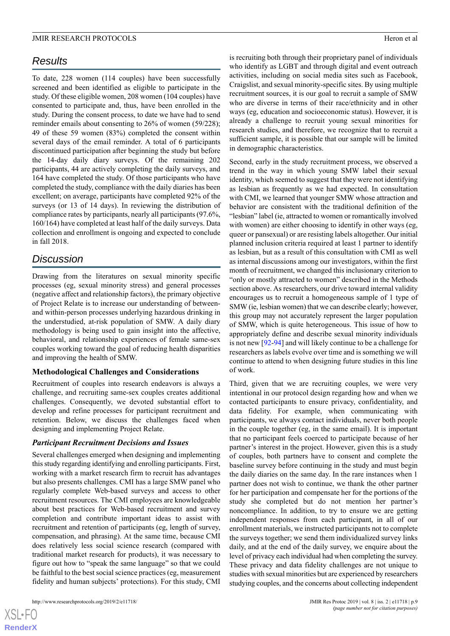## *Results*

To date, 228 women (114 couples) have been successfully screened and been identified as eligible to participate in the study. Of these eligible women, 208 women (104 couples) have consented to participate and, thus, have been enrolled in the study. During the consent process, to date we have had to send reminder emails about consenting to 26% of women (59/228); 49 of these 59 women (83%) completed the consent within several days of the email reminder. A total of 6 participants discontinued participation after beginning the study but before the 14-day daily diary surveys. Of the remaining 202 participants, 44 are actively completing the daily surveys, and 164 have completed the study. Of those participants who have completed the study, compliance with the daily diaries has been excellent; on average, participants have completed 92% of the surveys (or 13 of 14 days). In reviewing the distribution of compliance rates by participants, nearly all participants (97.6%, 160/164) have completed at least half of the daily surveys. Data collection and enrollment is ongoing and expected to conclude in fall 2018.

## *Discussion*

Drawing from the literatures on sexual minority specific processes (eg, sexual minority stress) and general processes (negative affect and relationship factors), the primary objective of Project Relate is to increase our understanding of betweenand within-person processes underlying hazardous drinking in the understudied, at-risk population of SMW. A daily diary methodology is being used to gain insight into the affective, behavioral, and relationship experiences of female same-sex couples working toward the goal of reducing health disparities and improving the health of SMW.

## **Methodological Challenges and Considerations**

Recruitment of couples into research endeavors is always a challenge, and recruiting same-sex couples creates additional challenges. Consequently, we devoted substantial effort to develop and refine processes for participant recruitment and retention. Below, we discuss the challenges faced when designing and implementing Project Relate.

## *Participant Recruitment Decisions and Issues*

Several challenges emerged when designing and implementing this study regarding identifying and enrolling participants. First, working with a market research firm to recruit has advantages but also presents challenges. CMI has a large SMW panel who regularly complete Web-based surveys and access to other recruitment resources. The CMI employees are knowledgeable about best practices for Web-based recruitment and survey completion and contribute important ideas to assist with recruitment and retention of participants (eg, length of survey, compensation, and phrasing). At the same time, because CMI does relatively less social science research (compared with traditional market research for products), it was necessary to figure out how to "speak the same language" so that we could be faithful to the best social science practices (eg, measurement fidelity and human subjects' protections). For this study, CMI

is recruiting both through their proprietary panel of individuals who identify as LGBT and through digital and event outreach activities, including on social media sites such as Facebook, Craigslist, and sexual minority-specific sites. By using multiple recruitment sources, it is our goal to recruit a sample of SMW who are diverse in terms of their race/ethnicity and in other ways (eg, education and socioeconomic status). However, it is already a challenge to recruit young sexual minorities for research studies, and therefore, we recognize that to recruit a sufficient sample, it is possible that our sample will be limited in demographic characteristics.

Second, early in the study recruitment process, we observed a trend in the way in which young SMW label their sexual identity, which seemed to suggest that they were not identifying as lesbian as frequently as we had expected. In consultation with CMI, we learned that younger SMW whose attraction and behavior are consistent with the traditional definition of the "lesbian" label (ie, attracted to women or romantically involved with women) are either choosing to identify in other ways (eg, queer or pansexual) or are resisting labels altogether. Our initial planned inclusion criteria required at least 1 partner to identify as lesbian, but as a result of this consultation with CMI as well as internal discussions among our investigators, within the first month of recruitment, we changed this inclusionary criterion to "only or mostly attracted to women" described in the Methods section above. As researchers, our drive toward internal validity encourages us to recruit a homogeneous sample of 1 type of SMW (ie, lesbian women) that we can describe clearly; however, this group may not accurately represent the larger population of SMW, which is quite heterogeneous. This issue of how to appropriately define and describe sexual minority individuals is not new [\[92](#page-16-5)[-94](#page-16-6)] and will likely continue to be a challenge for researchers as labels evolve over time and is something we will continue to attend to when designing future studies in this line of work.

Third, given that we are recruiting couples, we were very intentional in our protocol design regarding how and when we contacted participants to ensure privacy, confidentiality, and data fidelity. For example, when communicating with participants, we always contact individuals, never both people in the couple together (eg, in the same email). It is important that no participant feels coerced to participate because of her partner's interest in the project. However, given this is a study of couples, both partners have to consent and complete the baseline survey before continuing in the study and must begin the daily diaries on the same day. In the rare instances when 1 partner does not wish to continue, we thank the other partner for her participation and compensate her for the portions of the study she completed but do not mention her partner's noncompliance. In addition, to try to ensure we are getting independent responses from each participant, in all of our enrollment materials, we instructed participants not to complete the surveys together; we send them individualized survey links daily, and at the end of the daily survey, we enquire about the level of privacy each individual had when completing the survey. These privacy and data fidelity challenges are not unique to studies with sexual minorities but are experienced by researchers studying couples, and the concerns about collecting independent

 $XS$  • FC **[RenderX](http://www.renderx.com/)**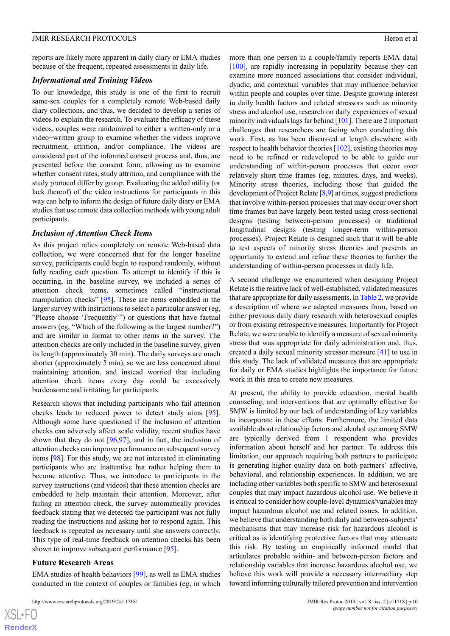reports are likely more apparent in daily diary or EMA studies because of the frequent, repeated assessments in daily life.

#### *Informational and Training Videos*

To our knowledge, this study is one of the first to recruit same-sex couples for a completely remote Web-based daily diary collections, and thus, we decided to develop a series of videos to explain the research. To evaluate the efficacy of these videos, couples were randomized to either a written-only or a video+written group to examine whether the videos improve recruitment, attrition, and/or compliance. The videos are considered part of the informed consent process and, thus, are presented before the consent form, allowing us to examine whether consent rates, study attrition, and compliance with the study protocol differ by group. Evaluating the added utility (or lack thereof) of the video instructions for participants in this way can help to inform the design of future daily diary or EMA studies that use remote data collection methods with young adult participants.

#### *Inclusion of Attention Check Items*

As this project relies completely on remote Web-based data collection, we were concerned that for the longer baseline survey, participants could begin to respond randomly, without fully reading each question. To attempt to identify if this is occurring, in the baseline survey, we included a series of attention check items, sometimes called "instructional manipulation checks" [[95\]](#page-16-7). These are items embedded in the larger survey with instructions to select a particular answer (eg, "Please choose 'Frequently'") or questions that have factual answers (eg, "Which of the following is the largest number?") and are similar in format to other items in the survey. The attention checks are only included in the baseline survey, given its length (approximately 30 min). The daily surveys are much shorter (approximately 5 min), so we are less concerned about maintaining attention, and instead worried that including attention check items every day could be excessively burdensome and irritating for participants.

Research shows that including participants who fail attention checks leads to reduced power to detect study aims [[95\]](#page-16-7). Although some have questioned if the inclusion of attention checks can adversely affect scale validity, recent studies have shown that they do not  $[96,97]$  $[96,97]$  $[96,97]$  $[96,97]$ , and in fact, the inclusion of attention checks can improve performance on subsequent survey items [\[98](#page-16-10)]. For this study, we are not interested in eliminating participants who are inattentive but rather helping them to become attentive. Thus, we introduce to participants in the survey instructions (and videos) that these attention checks are embedded to help maintain their attention. Moreover, after failing an attention check, the survey automatically provides feedback stating that we detected the participant was not fully reading the instructions and asking her to respond again. This feedback is repeated as necessary until she answers correctly. This type of real-time feedback on attention checks has been shown to improve subsequent performance [\[95](#page-16-7)].

## **Future Research Areas**

EMA studies of health behaviors [[99\]](#page-16-11), as well as EMA studies conducted in the context of couples or families (eg, in which more than one person in a couple/family reports EMA data) [[100\]](#page-16-12), are rapidly increasing in popularity because they can examine more nuanced associations that consider individual, dyadic, and contextual variables that may influence behavior within people and couples over time. Despite growing interest in daily health factors and related stressors such as minority stress and alcohol use, research on daily experiences of sexual minority individuals lags far behind [[101\]](#page-16-13). There are 2 important challenges that researchers are facing when conducting this work. First, as has been discussed at length elsewhere with respect to health behavior theories [[102\]](#page-16-14), existing theories may need to be refined or redeveloped to be able to guide our understanding of within-person processes that occur over relatively short time frames (eg, minutes, days, and weeks). Minority stress theories, including those that guided the development of Project Relate [\[8](#page-12-7)[,9](#page-12-6)] at times, suggest predictions that involve within-person processes that may occur over short time frames but have largely been tested using cross-sectional designs (testing between-person processes) or traditional longitudinal designs (testing longer-term within-person processes). Project Relate is designed such that it will be able to test aspects of minority stress theories and presents an opportunity to extend and refine these theories to further the understanding of within-person processes in daily life.

A second challenge we encountered when designing Project Relate is the relative lack of well-established, validated measures that are appropriate for daily assessments. In [Table 2](#page-9-0), we provide a description of where we adapted measures from, based on either previous daily diary research with heterosexual couples or from existing retrospective measures. Importantly for Project Relate, we were unable to identify a measure of sexual minority stress that was appropriate for daily administration and, thus, created a daily sexual minority stressor measure [[41\]](#page-14-5) to use in this study. The lack of validated measures that are appropriate for daily or EMA studies highlights the importance for future work in this area to create new measures.

At present, the ability to provide education, mental health counseling, and interventions that are optimally effective for SMW is limited by our lack of understanding of key variables to incorporate in these efforts. Furthermore, the limited data available about relationship factors and alcohol use among SMW are typically derived from 1 respondent who provides information about herself and her partner. To address this limitation, our approach requiring both partners to participate is generating higher quality data on both partners' affective, behavioral, and relationship experiences. In addition, we are including other variables both specific to SMW and heterosexual couples that may impact hazardous alcohol use. We believe it is critical to consider how couple-level dynamics/variables may impact hazardous alcohol use and related issues. In addition, we believe that understanding both daily and between-subjects' mechanisms that may increase risk for hazardous alcohol is critical as is identifying protective factors that may attenuate this risk. By testing an empirically informed model that articulates probable within- and between-person factors and relationship variables that increase hazardous alcohol use, we believe this work will provide a necessary intermediary step toward informing culturally tailored prevention and intervention

```
XS • FC
RenderX
```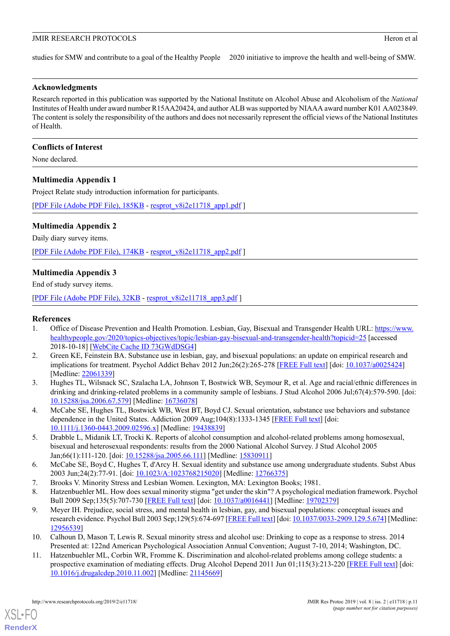studies for SMW and contribute to a goal of the Healthy People 2020 initiative to improve the health and well-being of SMW.

## **Acknowledgments**

Research reported in this publication was supported by the National Institute on Alcohol Abuse and Alcoholism of the *National* Institutes of Health under award number R15AA20424, and author ALB was supported by NIAAA award number K01 AA023849. The content is solely the responsibility of the authors and does not necessarily represent the official views of the National Institutes of Health.

## **Conflicts of Interest**

<span id="page-12-10"></span>None declared.

## **Multimedia Appendix 1**

Project Relate study introduction information for participants.

<span id="page-12-11"></span>[[PDF File \(Adobe PDF File\), 185KB](https://www.researchprotocols.org/article/downloadSuppFile/11718/87682) - [resprot\\_v8i2e11718\\_app1.pdf](https://www.researchprotocols.org/article/downloadSuppFile/11718/87682) ]

## **Multimedia Appendix 2**

Daily diary survey items.

<span id="page-12-12"></span>[[PDF File \(Adobe PDF File\), 174KB](https://www.researchprotocols.org/article/downloadSuppFile/11718/87683) - [resprot\\_v8i2e11718\\_app2.pdf](https://www.researchprotocols.org/article/downloadSuppFile/11718/87683) ]

## **Multimedia Appendix 3**

End of study survey items.

<span id="page-12-0"></span>[[PDF File \(Adobe PDF File\), 32KB](https://www.researchprotocols.org/article/downloadSuppFile/11718/87684) - [resprot\\_v8i2e11718\\_app3.pdf](https://www.researchprotocols.org/article/downloadSuppFile/11718/87684) ]

## <span id="page-12-1"></span>**References**

- 1. Office of Disease Prevention and Health Promotion. Lesbian, Gay, Bisexual and Transgender Health URL: [https://www.](https://www.healthypeople.gov/2020/topics-objectives/topic/lesbian-gay-bisexual-and-transgender-health?topicid=25) [healthypeople.gov/2020/topics-objectives/topic/lesbian-gay-bisexual-and-transgender-health?topicid=25](https://www.healthypeople.gov/2020/topics-objectives/topic/lesbian-gay-bisexual-and-transgender-health?topicid=25) [accessed 2018-10-18] [\[WebCite Cache ID 73GWdDSG4\]](http://www.webcitation.org/73GWdDSG4)
- <span id="page-12-9"></span><span id="page-12-2"></span>2. Green KE, Feinstein BA. Substance use in lesbian, gay, and bisexual populations: an update on empirical research and implications for treatment. Psychol Addict Behav 2012 Jun;26(2):265-278 [[FREE Full text](http://europepmc.org/abstract/MED/22061339)] [doi: [10.1037/a0025424](http://dx.doi.org/10.1037/a0025424)] [Medline: [22061339](http://www.ncbi.nlm.nih.gov/entrez/query.fcgi?cmd=Retrieve&db=PubMed&list_uids=22061339&dopt=Abstract)]
- <span id="page-12-3"></span>3. Hughes TL, Wilsnack SC, Szalacha LA, Johnson T, Bostwick WB, Seymour R, et al. Age and racial/ethnic differences in drinking and drinking-related problems in a community sample of lesbians. J Stud Alcohol 2006 Jul;67(4):579-590. [doi: [10.15288/jsa.2006.67.579](http://dx.doi.org/10.15288/jsa.2006.67.579)] [Medline: [16736078](http://www.ncbi.nlm.nih.gov/entrez/query.fcgi?cmd=Retrieve&db=PubMed&list_uids=16736078&dopt=Abstract)]
- <span id="page-12-4"></span>4. McCabe SE, Hughes TL, Bostwick WB, West BT, Boyd CJ. Sexual orientation, substance use behaviors and substance dependence in the United States. Addiction 2009 Aug;104(8):1333-1345 [\[FREE Full text\]](http://europepmc.org/abstract/MED/19438839) [doi: [10.1111/j.1360-0443.2009.02596.x\]](http://dx.doi.org/10.1111/j.1360-0443.2009.02596.x) [Medline: [19438839](http://www.ncbi.nlm.nih.gov/entrez/query.fcgi?cmd=Retrieve&db=PubMed&list_uids=19438839&dopt=Abstract)]
- <span id="page-12-7"></span><span id="page-12-5"></span>5. Drabble L, Midanik LT, Trocki K. Reports of alcohol consumption and alcohol-related problems among homosexual, bisexual and heterosexual respondents: results from the 2000 National Alcohol Survey. J Stud Alcohol 2005 Jan;66(1):111-120. [doi: [10.15288/jsa.2005.66.111](http://dx.doi.org/10.15288/jsa.2005.66.111)] [Medline: [15830911](http://www.ncbi.nlm.nih.gov/entrez/query.fcgi?cmd=Retrieve&db=PubMed&list_uids=15830911&dopt=Abstract)]
- <span id="page-12-6"></span>6. McCabe SE, Boyd C, Hughes T, d'Arcy H. Sexual identity and substance use among undergraduate students. Subst Abus 2003 Jun;24(2):77-91. [doi: [10.1023/A:1023768215020](http://dx.doi.org/10.1023/A:1023768215020)] [Medline: [12766375\]](http://www.ncbi.nlm.nih.gov/entrez/query.fcgi?cmd=Retrieve&db=PubMed&list_uids=12766375&dopt=Abstract)
- <span id="page-12-8"></span>7. Brooks V. Minority Stress and Lesbian Women. Lexington, MA: Lexington Books; 1981.
- 8. Hatzenbuehler ML. How does sexual minority stigma "get under the skin"? A psychological mediation framework. Psychol Bull 2009 Sep;135(5):707-730 [\[FREE Full text\]](http://europepmc.org/abstract/MED/19702379) [doi: [10.1037/a0016441\]](http://dx.doi.org/10.1037/a0016441) [Medline: [19702379](http://www.ncbi.nlm.nih.gov/entrez/query.fcgi?cmd=Retrieve&db=PubMed&list_uids=19702379&dopt=Abstract)]
- 9. Meyer IH. Prejudice, social stress, and mental health in lesbian, gay, and bisexual populations: conceptual issues and research evidence. Psychol Bull 2003 Sep;129(5):674-697 [[FREE Full text](http://europepmc.org/abstract/MED/12956539)] [doi: [10.1037/0033-2909.129.5.674](http://dx.doi.org/10.1037/0033-2909.129.5.674)] [Medline: [12956539](http://www.ncbi.nlm.nih.gov/entrez/query.fcgi?cmd=Retrieve&db=PubMed&list_uids=12956539&dopt=Abstract)]
- 10. Calhoun D, Mason T, Lewis R. Sexual minority stress and alcohol use: Drinking to cope as a response to stress. 2014 Presented at: 122nd American Psychological Association Annual Convention; August 7-10, 2014; Washington, DC.
- 11. Hatzenbuehler ML, Corbin WR, Fromme K. Discrimination and alcohol-related problems among college students: a prospective examination of mediating effects. Drug Alcohol Depend 2011 Jun 01;115(3):213-220 [\[FREE Full text\]](http://europepmc.org/abstract/MED/21145669) [doi: [10.1016/j.drugalcdep.2010.11.002\]](http://dx.doi.org/10.1016/j.drugalcdep.2010.11.002) [Medline: [21145669\]](http://www.ncbi.nlm.nih.gov/entrez/query.fcgi?cmd=Retrieve&db=PubMed&list_uids=21145669&dopt=Abstract)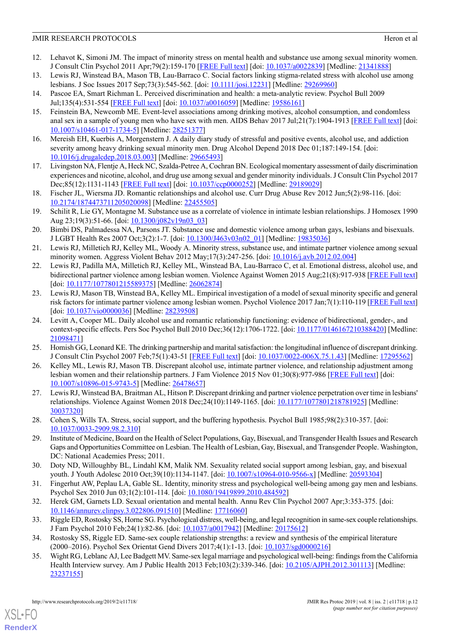- <span id="page-13-1"></span>12. Lehavot K, Simoni JM. The impact of minority stress on mental health and substance use among sexual minority women. J Consult Clin Psychol 2011 Apr;79(2):159-170 [\[FREE Full text\]](http://europepmc.org/abstract/MED/21341888) [doi: [10.1037/a0022839\]](http://dx.doi.org/10.1037/a0022839) [Medline: [21341888](http://www.ncbi.nlm.nih.gov/entrez/query.fcgi?cmd=Retrieve&db=PubMed&list_uids=21341888&dopt=Abstract)]
- <span id="page-13-2"></span><span id="page-13-0"></span>13. Lewis RJ, Winstead BA, Mason TB, Lau-Barraco C. Social factors linking stigma-related stress with alcohol use among lesbians. J Soc Issues 2017 Sep;73(3):545-562. [doi: [10.1111/josi.12231\]](http://dx.doi.org/10.1111/josi.12231) [Medline: [29269960\]](http://www.ncbi.nlm.nih.gov/entrez/query.fcgi?cmd=Retrieve&db=PubMed&list_uids=29269960&dopt=Abstract)
- <span id="page-13-3"></span>14. Pascoe EA, Smart Richman L. Perceived discrimination and health: a meta-analytic review. Psychol Bull 2009 Jul;135(4):531-554 [[FREE Full text](http://europepmc.org/abstract/MED/19586161)] [doi: [10.1037/a0016059\]](http://dx.doi.org/10.1037/a0016059) [Medline: [19586161\]](http://www.ncbi.nlm.nih.gov/entrez/query.fcgi?cmd=Retrieve&db=PubMed&list_uids=19586161&dopt=Abstract)
- 15. Feinstein BA, Newcomb ME. Event-level associations among drinking motives, alcohol consumption, and condomless anal sex in a sample of young men who have sex with men. AIDS Behav 2017 Jul;21(7):1904-1913 [\[FREE Full text](http://europepmc.org/abstract/MED/28251377)] [doi: [10.1007/s10461-017-1734-5\]](http://dx.doi.org/10.1007/s10461-017-1734-5) [Medline: [28251377](http://www.ncbi.nlm.nih.gov/entrez/query.fcgi?cmd=Retrieve&db=PubMed&list_uids=28251377&dopt=Abstract)]
- <span id="page-13-5"></span><span id="page-13-4"></span>16. Mereish EH, Kuerbis A, Morgenstern J. A daily diary study of stressful and positive events, alcohol use, and addiction severity among heavy drinking sexual minority men. Drug Alcohol Depend 2018 Dec 01;187:149-154. [doi: [10.1016/j.drugalcdep.2018.03.003\]](http://dx.doi.org/10.1016/j.drugalcdep.2018.03.003) [Medline: [29665493\]](http://www.ncbi.nlm.nih.gov/entrez/query.fcgi?cmd=Retrieve&db=PubMed&list_uids=29665493&dopt=Abstract)
- <span id="page-13-6"></span>17. Livingston NA, Flentje A, Heck NC, Szalda-Petree A, Cochran BN. Ecological momentary assessment of daily discrimination experiences and nicotine, alcohol, and drug use among sexual and gender minority individuals. J Consult Clin Psychol 2017 Dec;85(12):1131-1143 [\[FREE Full text\]](http://europepmc.org/abstract/MED/29189029) [doi: [10.1037/ccp0000252](http://dx.doi.org/10.1037/ccp0000252)] [Medline: [29189029\]](http://www.ncbi.nlm.nih.gov/entrez/query.fcgi?cmd=Retrieve&db=PubMed&list_uids=29189029&dopt=Abstract)
- <span id="page-13-7"></span>18. Fischer JL, Wiersma JD. Romantic relationships and alcohol use. Curr Drug Abuse Rev 2012 Jun;5(2):98-116. [doi: [10.2174/1874473711205020098](http://dx.doi.org/10.2174/1874473711205020098)] [Medline: [22455505](http://www.ncbi.nlm.nih.gov/entrez/query.fcgi?cmd=Retrieve&db=PubMed&list_uids=22455505&dopt=Abstract)]
- <span id="page-13-8"></span>19. Schilit R, Lie GY, Montagne M. Substance use as a correlate of violence in intimate lesbian relationships. J Homosex 1990 Aug 23;19(3):51-66. [doi: [10.1300/j082v19n03\\_03](http://dx.doi.org/10.1300/j082v19n03_03)]
- <span id="page-13-9"></span>20. Bimbi DS, Palmadessa NA, Parsons JT. Substance use and domestic violence among urban gays, lesbians and bisexuals. J LGBT Health Res 2007 Oct;3(2):1-7. [doi: [10.1300/J463v03n02\\_01](http://dx.doi.org/10.1300/J463v03n02_01)] [Medline: [19835036\]](http://www.ncbi.nlm.nih.gov/entrez/query.fcgi?cmd=Retrieve&db=PubMed&list_uids=19835036&dopt=Abstract)
- <span id="page-13-10"></span>21. Lewis RJ, Milletich RJ, Kelley ML, Woody A. Minority stress, substance use, and intimate partner violence among sexual minority women. Aggress Violent Behav 2012 May;17(3):247-256. [doi: [10.1016/j.avb.2012.02.004](http://dx.doi.org/10.1016/j.avb.2012.02.004)]
- <span id="page-13-11"></span>22. Lewis RJ, Padilla MA, Milletich RJ, Kelley ML, Winstead BA, Lau-Barraco C, et al. Emotional distress, alcohol use, and bidirectional partner violence among lesbian women. Violence Against Women 2015 Aug;21(8):917-938 [[FREE Full text](http://europepmc.org/abstract/MED/26062874)] [doi: [10.1177/1077801215589375\]](http://dx.doi.org/10.1177/1077801215589375) [Medline: [26062874](http://www.ncbi.nlm.nih.gov/entrez/query.fcgi?cmd=Retrieve&db=PubMed&list_uids=26062874&dopt=Abstract)]
- <span id="page-13-12"></span>23. Lewis RJ, Mason TB, Winstead BA, Kelley ML. Empirical investigation of a model of sexual minority specific and general risk factors for intimate partner violence among lesbian women. Psychol Violence 2017 Jan;7(1):110-119 [[FREE Full text](http://europepmc.org/abstract/MED/28239508)] [doi: [10.1037/vio0000036\]](http://dx.doi.org/10.1037/vio0000036) [Medline: [28239508\]](http://www.ncbi.nlm.nih.gov/entrez/query.fcgi?cmd=Retrieve&db=PubMed&list_uids=28239508&dopt=Abstract)
- <span id="page-13-14"></span><span id="page-13-13"></span>24. Levitt A, Cooper ML. Daily alcohol use and romantic relationship functioning: evidence of bidirectional, gender-, and context-specific effects. Pers Soc Psychol Bull 2010 Dec;36(12):1706-1722. [doi: [10.1177/0146167210388420\]](http://dx.doi.org/10.1177/0146167210388420) [Medline: [21098471](http://www.ncbi.nlm.nih.gov/entrez/query.fcgi?cmd=Retrieve&db=PubMed&list_uids=21098471&dopt=Abstract)]
- <span id="page-13-15"></span>25. Homish GG, Leonard KE. The drinking partnership and marital satisfaction: the longitudinal influence of discrepant drinking. J Consult Clin Psychol 2007 Feb;75(1):43-51 [\[FREE Full text\]](http://europepmc.org/abstract/MED/17295562) [doi: [10.1037/0022-006X.75.1.43](http://dx.doi.org/10.1037/0022-006X.75.1.43)] [Medline: [17295562\]](http://www.ncbi.nlm.nih.gov/entrez/query.fcgi?cmd=Retrieve&db=PubMed&list_uids=17295562&dopt=Abstract)
- <span id="page-13-16"></span>26. Kelley ML, Lewis RJ, Mason TB. Discrepant alcohol use, intimate partner violence, and relationship adjustment among lesbian women and their relationship partners. J Fam Violence 2015 Nov 01;30(8):977-986 [[FREE Full text\]](http://europepmc.org/abstract/MED/26478657) [doi: [10.1007/s10896-015-9743-5\]](http://dx.doi.org/10.1007/s10896-015-9743-5) [Medline: [26478657](http://www.ncbi.nlm.nih.gov/entrez/query.fcgi?cmd=Retrieve&db=PubMed&list_uids=26478657&dopt=Abstract)]
- <span id="page-13-17"></span>27. Lewis RJ, Winstead BA, Braitman AL, Hitson P. Discrepant drinking and partner violence perpetration over time in lesbians' relationships. Violence Against Women 2018 Dec;24(10):1149-1165. [doi: [10.1177/1077801218781925](http://dx.doi.org/10.1177/1077801218781925)] [Medline: [30037320](http://www.ncbi.nlm.nih.gov/entrez/query.fcgi?cmd=Retrieve&db=PubMed&list_uids=30037320&dopt=Abstract)]
- <span id="page-13-18"></span>28. Cohen S, Wills TA. Stress, social support, and the buffering hypothesis. Psychol Bull 1985;98(2):310-357. [doi: [10.1037/0033-2909.98.2.310\]](http://dx.doi.org/10.1037/0033-2909.98.2.310)
- 29. Institute of Medicine, Board on the Health of Select Populations, Gay, Bisexual, and Transgender Health Issues and Research Gaps and Opportunities Committee on Lesbian. The Health of Lesbian, Gay, Bisexual, and Transgender People. Washington, DC: National Academies Press; 2011.
- <span id="page-13-20"></span><span id="page-13-19"></span>30. Doty ND, Willoughby BL, Lindahl KM, Malik NM. Sexuality related social support among lesbian, gay, and bisexual youth. J Youth Adolesc 2010 Oct;39(10):1134-1147. [doi: [10.1007/s10964-010-9566-x\]](http://dx.doi.org/10.1007/s10964-010-9566-x) [Medline: [20593304](http://www.ncbi.nlm.nih.gov/entrez/query.fcgi?cmd=Retrieve&db=PubMed&list_uids=20593304&dopt=Abstract)]
- 31. Fingerhut AW, Peplau LA, Gable SL. Identity, minority stress and psychological well-being among gay men and lesbians. Psychol Sex 2010 Jun 03;1(2):101-114. [doi: [10.1080/19419899.2010.484592\]](http://dx.doi.org/10.1080/19419899.2010.484592)
- <span id="page-13-21"></span>32. Herek GM, Garnets LD. Sexual orientation and mental health. Annu Rev Clin Psychol 2007 Apr;3:353-375. [doi: [10.1146/annurev.clinpsy.3.022806.091510](http://dx.doi.org/10.1146/annurev.clinpsy.3.022806.091510)] [Medline: [17716060\]](http://www.ncbi.nlm.nih.gov/entrez/query.fcgi?cmd=Retrieve&db=PubMed&list_uids=17716060&dopt=Abstract)
- 33. Riggle ED, Rostosky SS, Horne SG. Psychological distress, well-being, and legal recognition in same-sex couple relationships. J Fam Psychol 2010 Feb;24(1):82-86. [doi: [10.1037/a0017942](http://dx.doi.org/10.1037/a0017942)] [Medline: [20175612](http://www.ncbi.nlm.nih.gov/entrez/query.fcgi?cmd=Retrieve&db=PubMed&list_uids=20175612&dopt=Abstract)]
- 34. Rostosky SS, Riggle ED. Same-sex couple relationship strengths: a review and synthesis of the empirical literature (2000–2016). Psychol Sex Orientat Gend Divers 2017;4(1):1-13. [doi: [10.1037/sgd0000216](http://dx.doi.org/10.1037/sgd0000216)]
- 35. Wight RG, Leblanc AJ, Lee Badgett MV. Same-sex legal marriage and psychological well-being: findings from the California Health Interview survey. Am J Public Health 2013 Feb;103(2):339-346. [doi: [10.2105/AJPH.2012.301113](http://dx.doi.org/10.2105/AJPH.2012.301113)] [Medline: [23237155](http://www.ncbi.nlm.nih.gov/entrez/query.fcgi?cmd=Retrieve&db=PubMed&list_uids=23237155&dopt=Abstract)]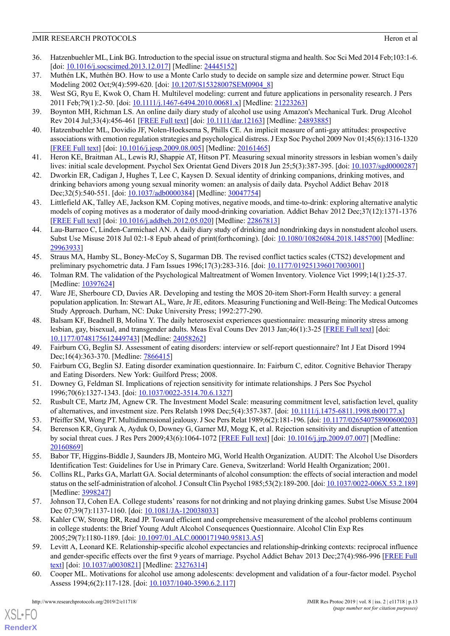- <span id="page-14-0"></span>36. Hatzenbuehler ML, Link BG. Introduction to the special issue on structural stigma and health. Soc Sci Med 2014 Feb;103:1-6. [doi: [10.1016/j.socscimed.2013.12.017](http://dx.doi.org/10.1016/j.socscimed.2013.12.017)] [Medline: [24445152](http://www.ncbi.nlm.nih.gov/entrez/query.fcgi?cmd=Retrieve&db=PubMed&list_uids=24445152&dopt=Abstract)]
- <span id="page-14-2"></span><span id="page-14-1"></span>37. Muthén LK, Muthén BO. How to use a Monte Carlo study to decide on sample size and determine power. Struct Equ Modeling 2002 Oct;9(4):599-620. [doi: [10.1207/S15328007SEM0904\\_8](http://dx.doi.org/10.1207/S15328007SEM0904_8)]
- <span id="page-14-3"></span>38. West SG, Ryu E, Kwok O, Cham H. Multilevel modeling: current and future applications in personality research. J Pers 2011 Feb;79(1):2-50. [doi: [10.1111/j.1467-6494.2010.00681.x\]](http://dx.doi.org/10.1111/j.1467-6494.2010.00681.x) [Medline: [21223263\]](http://www.ncbi.nlm.nih.gov/entrez/query.fcgi?cmd=Retrieve&db=PubMed&list_uids=21223263&dopt=Abstract)
- <span id="page-14-4"></span>39. Boynton MH, Richman LS. An online daily diary study of alcohol use using Amazon's Mechanical Turk. Drug Alcohol Rev 2014 Jul;33(4):456-461 [[FREE Full text](http://europepmc.org/abstract/MED/24893885)] [doi: [10.1111/dar.12163](http://dx.doi.org/10.1111/dar.12163)] [Medline: [24893885\]](http://www.ncbi.nlm.nih.gov/entrez/query.fcgi?cmd=Retrieve&db=PubMed&list_uids=24893885&dopt=Abstract)
- <span id="page-14-5"></span>40. Hatzenbuehler ML, Dovidio JF, Nolen-Hoeksema S, Phills CE. An implicit measure of anti-gay attitudes: prospective associations with emotion regulation strategies and psychological distress. J Exp Soc Psychol 2009 Nov 01;45(6):1316-1320 [[FREE Full text](http://europepmc.org/abstract/MED/20161465)] [doi: [10.1016/j.jesp.2009.08.005\]](http://dx.doi.org/10.1016/j.jesp.2009.08.005) [Medline: [20161465](http://www.ncbi.nlm.nih.gov/entrez/query.fcgi?cmd=Retrieve&db=PubMed&list_uids=20161465&dopt=Abstract)]
- <span id="page-14-6"></span>41. Heron KE, Braitman AL, Lewis RJ, Shappie AT, Hitson PT. Measuring sexual minority stressors in lesbian women's daily lives: initial scale development. Psychol Sex Orientat Gend Divers 2018 Jun 25;5(3):387-395. [doi: [10.1037/sgd0000287](http://dx.doi.org/10.1037/sgd0000287)]
- <span id="page-14-7"></span>42. Dworkin ER, Cadigan J, Hughes T, Lee C, Kaysen D. Sexual identity of drinking companions, drinking motives, and drinking behaviors among young sexual minority women: an analysis of daily data. Psychol Addict Behav 2018 Dec;32(5):540-551. [doi: [10.1037/adb0000384](http://dx.doi.org/10.1037/adb0000384)] [Medline: [30047754\]](http://www.ncbi.nlm.nih.gov/entrez/query.fcgi?cmd=Retrieve&db=PubMed&list_uids=30047754&dopt=Abstract)
- <span id="page-14-8"></span>43. Littlefield AK, Talley AE, Jackson KM. Coping motives, negative moods, and time-to-drink: exploring alternative analytic models of coping motives as a moderator of daily mood-drinking covariation. Addict Behav 2012 Dec;37(12):1371-1376 [[FREE Full text](http://europepmc.org/abstract/MED/22867813)] [doi: [10.1016/j.addbeh.2012.05.020](http://dx.doi.org/10.1016/j.addbeh.2012.05.020)] [Medline: [22867813](http://www.ncbi.nlm.nih.gov/entrez/query.fcgi?cmd=Retrieve&db=PubMed&list_uids=22867813&dopt=Abstract)]
- <span id="page-14-9"></span>44. Lau-Barraco C, Linden-Carmichael AN. A daily diary study of drinking and nondrinking days in nonstudent alcohol users. Subst Use Misuse 2018 Jul 02:1-8 Epub ahead of print(forthcoming). [doi: [10.1080/10826084.2018.1485700\]](http://dx.doi.org/10.1080/10826084.2018.1485700) [Medline: [29963933](http://www.ncbi.nlm.nih.gov/entrez/query.fcgi?cmd=Retrieve&db=PubMed&list_uids=29963933&dopt=Abstract)]
- <span id="page-14-11"></span><span id="page-14-10"></span>45. Straus MA, Hamby SL, Boney-McCoy S, Sugarman DB. The revised conflict tactics scales (CTS2) development and preliminary psychometric data. J Fam Issues 1996;17(3):283-316. [doi: [10.1177/019251396017003001\]](http://dx.doi.org/10.1177/019251396017003001)
- 46. Tolman RM. The validation of the Psychological Maltreatment of Women Inventory. Violence Vict 1999;14(1):25-37. [Medline: [10397624](http://www.ncbi.nlm.nih.gov/entrez/query.fcgi?cmd=Retrieve&db=PubMed&list_uids=10397624&dopt=Abstract)]
- <span id="page-14-12"></span>47. Ware JE, Sherboure CD, Davies AR. Developing and testing the MOS 20-item Short-Form Health survey: a general population application. In: Stewart AL, Ware, Jr JE, editors. Measuring Functioning and Well-Being: The Medical Outcomes Study Approach. Durham, NC: Duke University Press; 1992:277-290.
- <span id="page-14-14"></span><span id="page-14-13"></span>48. Balsam KF, Beadnell B, Molina Y. The daily heterosexist experiences questionnaire: measuring minority stress among lesbian, gay, bisexual, and transgender adults. Meas Eval Couns Dev 2013 Jan;46(1):3-25 [\[FREE Full text\]](http://europepmc.org/abstract/MED/24058262) [doi: [10.1177/0748175612449743](http://dx.doi.org/10.1177/0748175612449743)] [Medline: [24058262](http://www.ncbi.nlm.nih.gov/entrez/query.fcgi?cmd=Retrieve&db=PubMed&list_uids=24058262&dopt=Abstract)]
- <span id="page-14-15"></span>49. Fairburn CG, Beglin SJ. Assessment of eating disorders: interview or self-report questionnaire? Int J Eat Disord 1994 Dec;16(4):363-370. [Medline: [7866415](http://www.ncbi.nlm.nih.gov/entrez/query.fcgi?cmd=Retrieve&db=PubMed&list_uids=7866415&dopt=Abstract)]
- <span id="page-14-16"></span>50. Fairburn CG, Beglin SJ. Eating disorder examination questionnaire. In: Fairburn C, editor. Cognitive Behavior Therapy and Eating Disorders. New York: Guilford Press; 2008.
- <span id="page-14-18"></span><span id="page-14-17"></span>51. Downey G, Feldman SI. Implications of rejection sensitivity for intimate relationships. J Pers Soc Psychol 1996;70(6):1327-1343. [doi: [10.1037/0022-3514.70.6.1327](http://dx.doi.org/10.1037/0022-3514.70.6.1327)]
- 52. Rusbult CE, Martz JM, Agnew CR. The Investment Model Scale: measuring commitment level, satisfaction level, quality of alternatives, and investment size. Pers Relatsh 1998 Dec;5(4):357-387. [doi: [10.1111/j.1475-6811.1998.tb00177.x](http://dx.doi.org/10.1111/j.1475-6811.1998.tb00177.x)]
- <span id="page-14-19"></span>53. Pfeiffer SM, Wong PT. Multidimensional jealousy. J Soc Pers Relat 1989;6(2):181-196. [doi: [10.1177/026540758900600203](http://dx.doi.org/10.1177/026540758900600203)]
- <span id="page-14-20"></span>54. Berenson KR, Gyurak A, Ayduk O, Downey G, Garner MJ, Mogg K, et al. Rejection sensitivity and disruption of attention by social threat cues. J Res Pers 2009;43(6):1064-1072 [[FREE Full text](http://europepmc.org/abstract/MED/20160869)] [doi: [10.1016/j.jrp.2009.07.007\]](http://dx.doi.org/10.1016/j.jrp.2009.07.007) [Medline: [20160869](http://www.ncbi.nlm.nih.gov/entrez/query.fcgi?cmd=Retrieve&db=PubMed&list_uids=20160869&dopt=Abstract)]
- <span id="page-14-21"></span>55. Babor TF, Higgins-Biddle J, Saunders JB, Monteiro MG, World Health Organization. AUDIT: The Alcohol Use Disorders Identification Test: Guidelines for Use in Primary Care. Geneva, Switzerland: World Health Organization; 2001.
- <span id="page-14-22"></span>56. Collins RL, Parks GA, Marlatt GA. Social determinants of alcohol consumption: the effects of social interaction and model status on the self-administration of alcohol. J Consult Clin Psychol 1985;53(2):189-200. [doi: [10.1037/0022-006X.53.2.189\]](http://dx.doi.org/10.1037/0022-006X.53.2.189) [Medline: [3998247](http://www.ncbi.nlm.nih.gov/entrez/query.fcgi?cmd=Retrieve&db=PubMed&list_uids=3998247&dopt=Abstract)]
- <span id="page-14-23"></span>57. Johnson TJ, Cohen EA. College students' reasons for not drinking and not playing drinking games. Subst Use Misuse 2004 Dec 07;39(7):1137-1160. [doi: [10.1081/JA-120038033\]](http://dx.doi.org/10.1081/JA-120038033)
- <span id="page-14-24"></span>58. Kahler CW, Strong DR, Read JP. Toward efficient and comprehensive measurement of the alcohol problems continuum in college students: the Brief Young Adult Alcohol Consequences Questionnaire. Alcohol Clin Exp Res 2005;29(7):1180-1189. [doi: [10.1097/01.ALC.0000171940.95813.A5](http://dx.doi.org/10.1097/01.ALC.0000171940.95813.A5)]
- 59. Levitt A, Leonard KE. Relationship-specific alcohol expectancies and relationship-drinking contexts: reciprocal influence and gender-specific effects over the first 9 years of marriage. Psychol Addict Behav 2013 Dec;27(4):986-996 [\[FREE Full](http://europepmc.org/abstract/MED/23276314) [text\]](http://europepmc.org/abstract/MED/23276314) [doi: [10.1037/a0030821](http://dx.doi.org/10.1037/a0030821)] [Medline: [23276314](http://www.ncbi.nlm.nih.gov/entrez/query.fcgi?cmd=Retrieve&db=PubMed&list_uids=23276314&dopt=Abstract)]
- 60. Cooper ML. Motivations for alcohol use among adolescents: development and validation of a four-factor model. Psychol Assess 1994;6(2):117-128. [doi: [10.1037/1040-3590.6.2.117](http://dx.doi.org/10.1037/1040-3590.6.2.117)]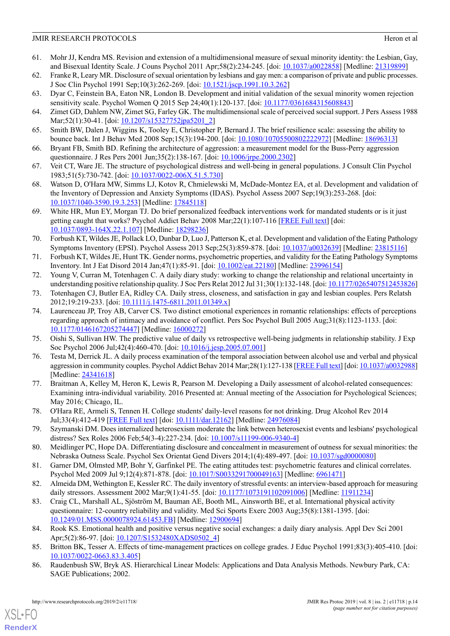- <span id="page-15-0"></span>61. Mohr JJ, Kendra MS. Revision and extension of a multidimensional measure of sexual minority identity: the Lesbian, Gay, and Bisexual Identity Scale. J Couns Psychol 2011 Apr;58(2):234-245. [doi: [10.1037/a0022858\]](http://dx.doi.org/10.1037/a0022858) [Medline: [21319899\]](http://www.ncbi.nlm.nih.gov/entrez/query.fcgi?cmd=Retrieve&db=PubMed&list_uids=21319899&dopt=Abstract)
- <span id="page-15-2"></span><span id="page-15-1"></span>62. Franke R, Leary MR. Disclosure of sexual orientation by lesbians and gay men: a comparison of private and public processes. J Soc Clin Psychol 1991 Sep;10(3):262-269. [doi: [10.1521/jscp.1991.10.3.262](http://dx.doi.org/10.1521/jscp.1991.10.3.262)]
- <span id="page-15-3"></span>63. Dyar C, Feinstein BA, Eaton NR, London B. Development and initial validation of the sexual minority women rejection sensitivity scale. Psychol Women Q 2015 Sep 24;40(1):120-137. [doi: [10.1177/0361684315608843](http://dx.doi.org/10.1177/0361684315608843)]
- <span id="page-15-4"></span>64. Zimet GD, Dahlem NW, Zimet SG, Farley GK. The multidimensional scale of perceived social support. J Pers Assess 1988 Mar; 52(1): 30-41. [doi: [10.1207/s15327752jpa5201\\_2](http://dx.doi.org/10.1207/s15327752jpa5201_2)]
- <span id="page-15-5"></span>65. Smith BW, Dalen J, Wiggins K, Tooley E, Christopher P, Bernard J. The brief resilience scale: assessing the ability to bounce back. Int J Behav Med 2008 Sep;15(3):194-200. [doi: [10.1080/10705500802222972](http://dx.doi.org/10.1080/10705500802222972)] [Medline: [18696313\]](http://www.ncbi.nlm.nih.gov/entrez/query.fcgi?cmd=Retrieve&db=PubMed&list_uids=18696313&dopt=Abstract)
- <span id="page-15-6"></span>66. Bryant FB, Smith BD. Refining the architecture of aggression: a measurement model for the Buss-Perry aggression questionnaire. J Res Pers 2001 Jun;35(2):138-167. [doi: [10.1006/jrpe.2000.2302](http://dx.doi.org/10.1006/jrpe.2000.2302)]
- <span id="page-15-7"></span>67. Veit CT, Ware JE. The structure of psychological distress and well-being in general populations. J Consult Clin Psychol 1983;51(5):730-742. [doi: [10.1037/0022-006X.51.5.730\]](http://dx.doi.org/10.1037/0022-006X.51.5.730)
- <span id="page-15-8"></span>68. Watson D, O'Hara MW, Simms LJ, Kotov R, Chmielewski M, McDade-Montez EA, et al. Development and validation of the Inventory of Depression and Anxiety Symptoms (IDAS). Psychol Assess 2007 Sep;19(3):253-268. [doi: [10.1037/1040-3590.19.3.253\]](http://dx.doi.org/10.1037/1040-3590.19.3.253) [Medline: [17845118\]](http://www.ncbi.nlm.nih.gov/entrez/query.fcgi?cmd=Retrieve&db=PubMed&list_uids=17845118&dopt=Abstract)
- <span id="page-15-9"></span>69. White HR, Mun EY, Morgan TJ. Do brief personalized feedback interventions work for mandated students or is it just getting caught that works? Psychol Addict Behav 2008 Mar;22(1):107-116 [[FREE Full text](http://europepmc.org/abstract/MED/18298236)] [doi: [10.1037/0893-164X.22.1.107\]](http://dx.doi.org/10.1037/0893-164X.22.1.107) [Medline: [18298236\]](http://www.ncbi.nlm.nih.gov/entrez/query.fcgi?cmd=Retrieve&db=PubMed&list_uids=18298236&dopt=Abstract)
- <span id="page-15-10"></span>70. Forbush KT, Wildes JE, Pollack LO, Dunbar D, Luo J, Patterson K, et al. Development and validation of the Eating Pathology Symptoms Inventory (EPSI). Psychol Assess 2013 Sep;25(3):859-878. [doi: [10.1037/a0032639](http://dx.doi.org/10.1037/a0032639)] [Medline: [23815116\]](http://www.ncbi.nlm.nih.gov/entrez/query.fcgi?cmd=Retrieve&db=PubMed&list_uids=23815116&dopt=Abstract)
- <span id="page-15-13"></span><span id="page-15-12"></span>71. Forbush KT, Wildes JE, Hunt TK. Gender norms, psychometric properties, and validity for the Eating Pathology Symptoms Inventory. Int J Eat Disord 2014 Jan;47(1):85-91. [doi: [10.1002/eat.22180](http://dx.doi.org/10.1002/eat.22180)] [Medline: [23996154](http://www.ncbi.nlm.nih.gov/entrez/query.fcgi?cmd=Retrieve&db=PubMed&list_uids=23996154&dopt=Abstract)]
- <span id="page-15-14"></span>72. Young V, Curran M, Totenhagen C. A daily diary study: working to change the relationship and relational uncertainty in understanding positive relationship quality. J Soc Pers Relat 2012 Jul 31;30(1):132-148. [doi: [10.1177/0265407512453826](http://dx.doi.org/10.1177/0265407512453826)]
- 73. Totenhagen CJ, Butler EA, Ridley CA. Daily stress, closeness, and satisfaction in gay and lesbian couples. Pers Relatsh 2012;19:219-233. [doi: [10.1111/j.1475-6811.2011.01349.x](http://dx.doi.org/10.1111/j.1475-6811.2011.01349.x)]
- <span id="page-15-16"></span><span id="page-15-15"></span>74. Laurenceau JP, Troy AB, Carver CS. Two distinct emotional experiences in romantic relationships: effects of perceptions regarding approach of intimacy and avoidance of conflict. Pers Soc Psychol Bull 2005 Aug;31(8):1123-1133. [doi: [10.1177/0146167205274447](http://dx.doi.org/10.1177/0146167205274447)] [Medline: [16000272](http://www.ncbi.nlm.nih.gov/entrez/query.fcgi?cmd=Retrieve&db=PubMed&list_uids=16000272&dopt=Abstract)]
- <span id="page-15-17"></span>75. Oishi S, Sullivan HW. The predictive value of daily vs retrospective well-being judgments in relationship stability. J Exp Soc Psychol 2006 Jul; 42(4): 460-470. [doi: 10.1016/j.jesp. 2005.07.001]
- 76. Testa M, Derrick JL. A daily process examination of the temporal association between alcohol use and verbal and physical aggression in community couples. Psychol Addict Behav 2014 Mar;28(1):127-138 [\[FREE Full text](http://europepmc.org/abstract/MED/24341618)] [doi: [10.1037/a0032988\]](http://dx.doi.org/10.1037/a0032988) [Medline: [24341618](http://www.ncbi.nlm.nih.gov/entrez/query.fcgi?cmd=Retrieve&db=PubMed&list_uids=24341618&dopt=Abstract)]
- <span id="page-15-19"></span><span id="page-15-18"></span>77. Braitman A, Kelley M, Heron K, Lewis R, Pearson M. Developing a Daily assessment of alcohol-related consequences: Examining intra-individual variability. 2016 Presented at: Annual meeting of the Association for Psychological Sciences; May 2016; Chicago, IL.
- <span id="page-15-21"></span><span id="page-15-20"></span>78. O'Hara RE, Armeli S, Tennen H. College students' daily-level reasons for not drinking. Drug Alcohol Rev 2014 Jul;33(4):412-419 [\[FREE Full text](http://europepmc.org/abstract/MED/24976084)] [doi: [10.1111/dar.12162](http://dx.doi.org/10.1111/dar.12162)] [Medline: [24976084\]](http://www.ncbi.nlm.nih.gov/entrez/query.fcgi?cmd=Retrieve&db=PubMed&list_uids=24976084&dopt=Abstract)
- <span id="page-15-22"></span>79. Szymanski DM. Does internalized heterosexism moderate the link between heterosexist events and lesbians' psychological distress? Sex Roles 2006 Feb;54(3-4):227-234. [doi: [10.1007/s11199-006-9340-4](http://dx.doi.org/10.1007/s11199-006-9340-4)]
- <span id="page-15-23"></span>80. Meidlinger PC, Hope DA. Differentiating disclosure and concealment in measurement of outness for sexual minorities: the Nebraska Outness Scale. Psychol Sex Orientat Gend Divers 2014;1(4):489-497. [doi: [10.1037/sgd0000080](http://dx.doi.org/10.1037/sgd0000080)]
- 81. Garner DM, Olmsted MP, Bohr Y, Garfinkel PE. The eating attitudes test: psychometric features and clinical correlates. Psychol Med 2009 Jul 9;12(4):871-878. [doi: [10.1017/S0033291700049163\]](http://dx.doi.org/10.1017/S0033291700049163) [Medline: [6961471\]](http://www.ncbi.nlm.nih.gov/entrez/query.fcgi?cmd=Retrieve&db=PubMed&list_uids=6961471&dopt=Abstract)
- <span id="page-15-24"></span>82. Almeida DM, Wethington E, Kessler RC. The daily inventory of stressful events: an interview-based approach for measuring daily stressors. Assessment 2002 Mar;9(1):41-55. [doi: [10.1177/1073191102091006\]](http://dx.doi.org/10.1177/1073191102091006) [Medline: [11911234\]](http://www.ncbi.nlm.nih.gov/entrez/query.fcgi?cmd=Retrieve&db=PubMed&list_uids=11911234&dopt=Abstract)
- <span id="page-15-25"></span><span id="page-15-11"></span>83. Craig CL, Marshall AL, Sjöström M, Bauman AE, Booth ML, Ainsworth BE, et al. International physical activity questionnaire: 12-country reliability and validity. Med Sci Sports Exerc 2003 Aug;35(8):1381-1395. [doi: [10.1249/01.MSS.0000078924.61453.FB](http://dx.doi.org/10.1249/01.MSS.0000078924.61453.FB)] [Medline: [12900694\]](http://www.ncbi.nlm.nih.gov/entrez/query.fcgi?cmd=Retrieve&db=PubMed&list_uids=12900694&dopt=Abstract)
- 84. Rook KS. Emotional health and positive versus negative social exchanges: a daily diary analysis. Appl Dev Sci 2001 Apr;5(2):86-97. [doi: [10.1207/S1532480XADS0502\\_4](http://dx.doi.org/10.1207/S1532480XADS0502_4)]
- 85. Britton BK, Tesser A. Effects of time-management practices on college grades. J Educ Psychol 1991;83(3):405-410. [doi: [10.1037/0022-0663.83.3.405\]](http://dx.doi.org/10.1037/0022-0663.83.3.405)
- 86. Raudenbush SW, Bryk AS. Hierarchical Linear Models: Applications and Data Analysis Methods. Newbury Park, CA: SAGE Publications; 2002.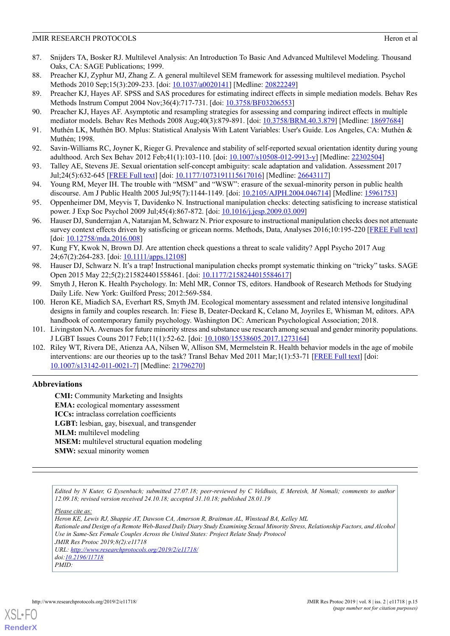- <span id="page-16-0"></span>87. Snijders TA, Bosker RJ. Multilevel Analysis: An Introduction To Basic And Advanced Multilevel Modeling. Thousand Oaks, CA: SAGE Publications; 1999.
- <span id="page-16-2"></span><span id="page-16-1"></span>88. Preacher KJ, Zyphur MJ, Zhang Z. A general multilevel SEM framework for assessing multilevel mediation. Psychol Methods 2010 Sep;15(3):209-233. [doi:  $10.1037/a0020141$ ] [Medline: [20822249\]](http://www.ncbi.nlm.nih.gov/entrez/query.fcgi?cmd=Retrieve&db=PubMed&list_uids=20822249&dopt=Abstract)
- <span id="page-16-3"></span>89. Preacher KJ, Hayes AF. SPSS and SAS procedures for estimating indirect effects in simple mediation models. Behav Res Methods Instrum Comput 2004 Nov;36(4):717-731. [doi: [10.3758/BF03206553](http://dx.doi.org/10.3758/BF03206553)]
- <span id="page-16-4"></span>90. Preacher KJ, Hayes AF. Asymptotic and resampling strategies for assessing and comparing indirect effects in multiple mediator models. Behav Res Methods 2008 Aug; 40(3): 879-891. [doi: [10.3758/BRM.40.3.879\]](http://dx.doi.org/10.3758/BRM.40.3.879) [Medline: [18697684\]](http://www.ncbi.nlm.nih.gov/entrez/query.fcgi?cmd=Retrieve&db=PubMed&list_uids=18697684&dopt=Abstract)
- <span id="page-16-5"></span>91. Muthén LK, Muthén BO. Mplus: Statistical Analysis With Latent Variables: User's Guide. Los Angeles, CA: Muthén & Muthén; 1998.
- 92. Savin-Williams RC, Joyner K, Rieger G. Prevalence and stability of self-reported sexual orientation identity during young adulthood. Arch Sex Behav 2012 Feb;41(1):103-110. [doi: [10.1007/s10508-012-9913-y\]](http://dx.doi.org/10.1007/s10508-012-9913-y) [Medline: [22302504](http://www.ncbi.nlm.nih.gov/entrez/query.fcgi?cmd=Retrieve&db=PubMed&list_uids=22302504&dopt=Abstract)]
- <span id="page-16-6"></span>93. Talley AE, Stevens JE. Sexual orientation self-concept ambiguity: scale adaptation and validation. Assessment 2017 Jul;24(5):632-645 [\[FREE Full text](http://europepmc.org/abstract/MED/26643117)] [doi: [10.1177/1073191115617016](http://dx.doi.org/10.1177/1073191115617016)] [Medline: [26643117\]](http://www.ncbi.nlm.nih.gov/entrez/query.fcgi?cmd=Retrieve&db=PubMed&list_uids=26643117&dopt=Abstract)
- <span id="page-16-7"></span>94. Young RM, Meyer IH. The trouble with "MSM" and "WSW": erasure of the sexual-minority person in public health discourse. Am J Public Health 2005 Jul;95(7):1144-1149. [doi: [10.2105/AJPH.2004.046714\]](http://dx.doi.org/10.2105/AJPH.2004.046714) [Medline: [15961753](http://www.ncbi.nlm.nih.gov/entrez/query.fcgi?cmd=Retrieve&db=PubMed&list_uids=15961753&dopt=Abstract)]
- <span id="page-16-8"></span>95. Oppenheimer DM, Meyvis T, Davidenko N. Instructional manipulation checks: detecting satisficing to increase statistical power. J Exp Soc Psychol 2009 Jul;45(4):867-872. [doi: [10.1016/j.jesp.2009.03.009\]](http://dx.doi.org/10.1016/j.jesp.2009.03.009)
- <span id="page-16-9"></span>96. Hauser DJ, Sunderrajan A, Natarajan M, Schwarz N. Prior exposure to instructional manipulation checks does not attenuate survey context effects driven by satisficing or gricean norms. Methods, Data, Analyses 2016;10:195-220 [\[FREE Full text](https://www.ssoar.info/ssoar/bitstream/handle/document/48882/ssoar-mda-2016-2-hauser_et_al-Prior_exposure_to_instructional_manipulation.pdf?sequence=1)] [doi: [10.12758/mda.2016.008](http://dx.doi.org/10.12758/mda.2016.008)]
- <span id="page-16-11"></span><span id="page-16-10"></span>97. Kung FY, Kwok N, Brown DJ. Are attention check questions a threat to scale validity? Appl Psycho 2017 Aug 24;67(2):264-283. [doi: [10.1111/apps.12108](http://dx.doi.org/10.1111/apps.12108)]
- <span id="page-16-12"></span>98. Hauser DJ, Schwarz N. It's a trap! Instructional manipulation checks prompt systematic thinking on "tricky" tasks. SAGE Open 2015 May 22;5(2):215824401558461. [doi: [10.1177/2158244015584617](http://dx.doi.org/10.1177/2158244015584617)]
- 99. Smyth J, Heron K. Health Psychology. In: Mehl MR, Connor TS, editors. Handbook of Research Methods for Studying Daily Life. New York: Guilford Press; 2012:569-584.
- <span id="page-16-14"></span><span id="page-16-13"></span>100. Heron KE, Miadich SA, Everhart RS, Smyth JM. Ecological momentary assessment and related intensive longitudinal designs in family and couples research. In: Fiese B, Deater-Deckard K, Celano M, Joyriles E, Whisman M, editors. APA handbook of contemporary family psychology. Washington DC: American Psychological Association; 2018.
- 101. Livingston NA. Avenues for future minority stress and substance use research among sexual and gender minority populations. J LGBT Issues Couns 2017 Feb;11(1):52-62. [doi: [10.1080/15538605.2017.1273164\]](http://dx.doi.org/10.1080/15538605.2017.1273164)
- 102. Riley WT, Rivera DE, Atienza AA, Nilsen W, Allison SM, Mermelstein R. Health behavior models in the age of mobile interventions: are our theories up to the task? Transl Behav Med 2011 Mar;1(1):53-71 [[FREE Full text](http://europepmc.org/abstract/MED/21796270)] [doi: [10.1007/s13142-011-0021-7](http://dx.doi.org/10.1007/s13142-011-0021-7)] [Medline: [21796270](http://www.ncbi.nlm.nih.gov/entrez/query.fcgi?cmd=Retrieve&db=PubMed&list_uids=21796270&dopt=Abstract)]

## **Abbreviations**

**CMI:** Community Marketing and Insights **EMA:** ecological momentary assessment **ICCs:** intraclass correlation coefficients **LGBT:** lesbian, gay, bisexual, and transgender **MLM:** multilevel modeling **MSEM:** multilevel structural equation modeling **SMW:** sexual minority women

*Edited by N Kuter, G Eysenbach; submitted 27.07.18; peer-reviewed by C Veldhuis, E Mereish, M Nomali; comments to author 12.09.18; revised version received 24.10.18; accepted 31.10.18; published 28.01.19*

*Please cite as:*

*Heron KE, Lewis RJ, Shappie AT, Dawson CA, Amerson R, Braitman AL, Winstead BA, Kelley ML Rationale and Design of a Remote Web-Based Daily Diary Study Examining Sexual Minority Stress, Relationship Factors, and Alcohol Use in Same-Sex Female Couples Across the United States: Project Relate Study Protocol JMIR Res Protoc 2019;8(2):e11718 URL: <http://www.researchprotocols.org/2019/2/e11718/> doi[:10.2196/11718](http://dx.doi.org/10.2196/11718) PMID:*